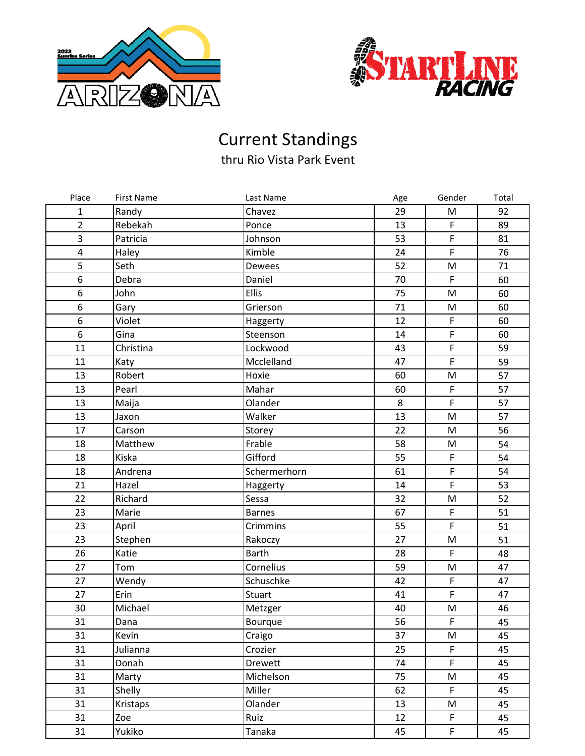



## Current Standings

thru Rio Vista Park Event

| Place                   | <b>First Name</b> | Last Name     | Age | Gender         | Total |
|-------------------------|-------------------|---------------|-----|----------------|-------|
| 1                       | Randy             | Chavez        | 29  | M              | 92    |
| $\overline{2}$          | Rebekah           | Ponce         | 13  | $\mathsf F$    | 89    |
| 3                       | Patricia          | Johnson       | 53  | $\mathsf F$    | 81    |
| $\overline{\mathbf{4}}$ | Haley             | Kimble        | 24  | $\mathsf F$    | 76    |
| 5                       | Seth              | Dewees        | 52  | M              | 71    |
| 6                       | Debra             | Daniel        | 70  | $\mathsf F$    | 60    |
| 6                       | John              | Ellis         | 75  | M              | 60    |
| $\boldsymbol{6}$        | Gary              | Grierson      | 71  | M              | 60    |
| 6                       | Violet            | Haggerty      | 12  | $\mathsf F$    | 60    |
| 6                       | Gina              | Steenson      | 14  | $\overline{F}$ | 60    |
| 11                      | Christina         | Lockwood      | 43  | $\mathsf F$    | 59    |
| 11                      | Katy              | Mcclelland    | 47  | $\mathsf F$    | 59    |
| 13                      | Robert            | Hoxie         | 60  | M              | 57    |
| 13                      | Pearl             | Mahar         | 60  | $\mathsf F$    | 57    |
| 13                      | Maija             | Olander       | 8   | $\mathsf F$    | 57    |
| 13                      | Jaxon             | Walker        | 13  | M              | 57    |
| 17                      | Carson            | Storey        | 22  | ${\sf M}$      | 56    |
| 18                      | Matthew           | Frable        | 58  | M              | 54    |
| 18                      | Kiska             | Gifford       | 55  | $\mathsf F$    | 54    |
| 18                      | Andrena           | Schermerhorn  | 61  | $\mathsf F$    | 54    |
| 21                      | Hazel             | Haggerty      | 14  | $\mathsf F$    | 53    |
| 22                      | Richard           | Sessa         | 32  | M              | 52    |
| 23                      | Marie             | <b>Barnes</b> | 67  | $\mathsf F$    | 51    |
| 23                      | April             | Crimmins      | 55  | $\mathsf F$    | 51    |
| 23                      | Stephen           | Rakoczy       | 27  | M              | 51    |
| 26                      | Katie             | <b>Barth</b>  | 28  | $\mathsf F$    | 48    |
| 27                      | Tom               | Cornelius     | 59  | ${\sf M}$      | 47    |
| 27                      | Wendy             | Schuschke     | 42  | $\mathsf F$    | 47    |
| 27                      | Erin              | Stuart        | 41  | $\mathsf F$    | 47    |
| 30                      | Michael           | Metzger       | 40  | ${\sf M}$      | 46    |
| 31                      | Dana              | Bourque       | 56  | $\mathsf F$    | 45    |
| 31                      | Kevin             | Craigo        | 37  | M              | 45    |
| 31                      | Julianna          | Crozier       | 25  | $\mathsf F$    | 45    |
| 31                      | Donah             | Drewett       | 74  | F.             | 45    |
| 31                      | Marty             | Michelson     | 75  | M              | 45    |
| 31                      | Shelly            | Miller        | 62  | $\mathsf F$    | 45    |
| 31                      | Kristaps          | Olander       | 13  | M              | 45    |
| 31                      | Zoe               | Ruiz          | 12  | $\mathsf F$    | 45    |
| 31                      | Yukiko            | Tanaka        | 45  | F              | 45    |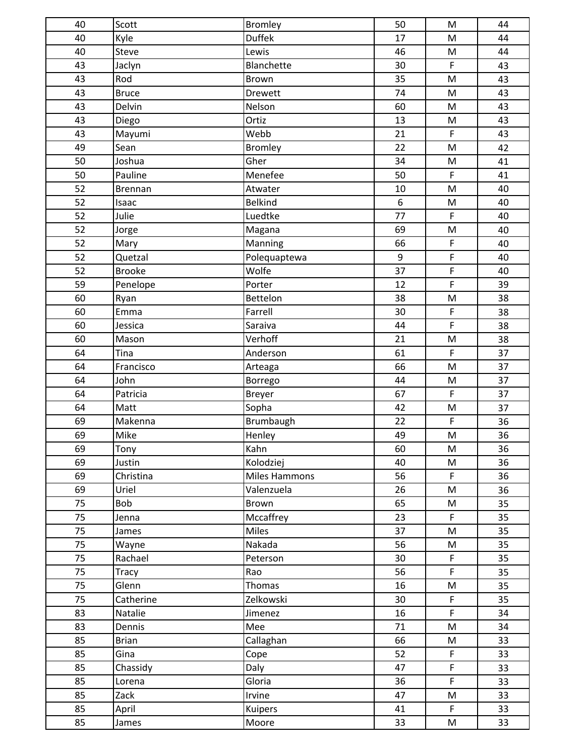| 40 | Scott         | <b>Bromley</b>       | 50               | $\mathsf{M}% _{T}=\mathsf{M}_{T}\!\left( a,b\right) ,\ \mathsf{M}_{T}=\mathsf{M}_{T}$ | 44 |
|----|---------------|----------------------|------------------|---------------------------------------------------------------------------------------|----|
| 40 | Kyle          | <b>Duffek</b>        | 17               | ${\sf M}$                                                                             | 44 |
| 40 | Steve         | Lewis                | 46               | ${\sf M}$                                                                             | 44 |
| 43 | Jaclyn        | Blanchette           | 30               | $\mathsf F$                                                                           | 43 |
| 43 | Rod           | Brown                | 35               | $\mathsf{M}% _{T}=\mathsf{M}_{T}\!\left( a,b\right) ,\ \mathsf{M}_{T}=\mathsf{M}_{T}$ | 43 |
| 43 | <b>Bruce</b>  | Drewett              | 74               | M                                                                                     | 43 |
| 43 | Delvin        | Nelson               | 60               | ${\sf M}$                                                                             | 43 |
| 43 | Diego         | Ortiz                | 13               | M                                                                                     | 43 |
| 43 | Mayumi        | Webb                 | 21               | $\mathsf F$                                                                           | 43 |
| 49 | Sean          | <b>Bromley</b>       | 22               | $\mathsf{M}% _{T}=\mathsf{M}_{T}\!\left( a,b\right) ,\ \mathsf{M}_{T}=\mathsf{M}_{T}$ | 42 |
| 50 | Joshua        | Gher                 | 34               | M                                                                                     | 41 |
| 50 | Pauline       | Menefee              | 50               | $\mathsf F$                                                                           | 41 |
| 52 | Brennan       | Atwater              | 10               | ${\sf M}$                                                                             | 40 |
| 52 | Isaac         | <b>Belkind</b>       | $\boldsymbol{6}$ | ${\sf M}$                                                                             | 40 |
| 52 | Julie         | Luedtke              | 77               | $\mathsf F$                                                                           | 40 |
| 52 | Jorge         | Magana               | 69               | M                                                                                     | 40 |
| 52 | Mary          | Manning              | 66               | $\mathsf F$                                                                           | 40 |
| 52 | Quetzal       | Polequaptewa         | $9\,$            | $\mathsf F$                                                                           | 40 |
| 52 | <b>Brooke</b> | Wolfe                | 37               | $\mathsf F$                                                                           | 40 |
| 59 | Penelope      | Porter               | 12               | $\mathsf F$                                                                           | 39 |
| 60 | Ryan          | Bettelon             | 38               | M                                                                                     | 38 |
| 60 | Emma          | Farrell              | 30               | $\mathsf F$                                                                           | 38 |
| 60 | Jessica       | Saraiva              | 44               | $\mathsf{F}$                                                                          | 38 |
| 60 | Mason         | Verhoff              | 21               | ${\sf M}$                                                                             | 38 |
| 64 | Tina          | Anderson             | 61               | $\mathsf F$                                                                           | 37 |
| 64 | Francisco     | Arteaga              | 66               | M                                                                                     | 37 |
| 64 | John          | Borrego              | 44               | ${\sf M}$                                                                             | 37 |
| 64 | Patricia      | Breyer               | 67               | $\mathsf F$                                                                           | 37 |
| 64 | Matt          | Sopha                | 42               | ${\sf M}$                                                                             | 37 |
| 69 | Makenna       | Brumbaugh            | 22               | $\mathsf F$                                                                           | 36 |
| 69 | Mike          | Henley               | 49               | M                                                                                     | 36 |
| 69 | Tony          | Kahn                 | 60               | M                                                                                     | 36 |
| 69 | Justin        | Kolodziej            | 40               | ${\sf M}$                                                                             | 36 |
| 69 | Christina     | <b>Miles Hammons</b> | 56               | F                                                                                     | 36 |
| 69 | Uriel         | Valenzuela           | 26               | ${\sf M}$                                                                             | 36 |
| 75 | Bob           | Brown                | 65               | M                                                                                     | 35 |
| 75 | Jenna         | Mccaffrey            | 23               | $\mathsf F$                                                                           | 35 |
| 75 | James         | Miles                | 37               | $\mathsf{M}% _{T}=\mathsf{M}_{T}\!\left( a,b\right) ,\ \mathsf{M}_{T}=\mathsf{M}_{T}$ | 35 |
| 75 | Wayne         | Nakada               | 56               | ${\sf M}$                                                                             | 35 |
| 75 | Rachael       | Peterson             | 30               | $\mathsf F$                                                                           | 35 |
| 75 | Tracy         | Rao                  | 56               | $\mathsf{F}$                                                                          | 35 |
| 75 | Glenn         | <b>Thomas</b>        | 16               | ${\sf M}$                                                                             | 35 |
| 75 | Catherine     | Zelkowski            | 30               | $\mathsf F$                                                                           | 35 |
| 83 | Natalie       | Jimenez              | 16               | $\mathsf{F}$                                                                          | 34 |
| 83 | Dennis        | Mee                  | 71               | ${\sf M}$                                                                             | 34 |
| 85 | <b>Brian</b>  | Callaghan            | 66               | M                                                                                     | 33 |
| 85 | Gina          | Cope                 | 52               | $\mathsf F$                                                                           | 33 |
| 85 | Chassidy      | Daly                 | 47               | $\mathsf F$                                                                           | 33 |
| 85 | Lorena        | Gloria               | 36               | $\mathsf{F}$                                                                          | 33 |
| 85 | Zack          | Irvine               | 47               | M                                                                                     | 33 |
| 85 | April         | Kuipers              | 41               | $\mathsf F$                                                                           | 33 |
| 85 | James         | Moore                | 33               | M                                                                                     | 33 |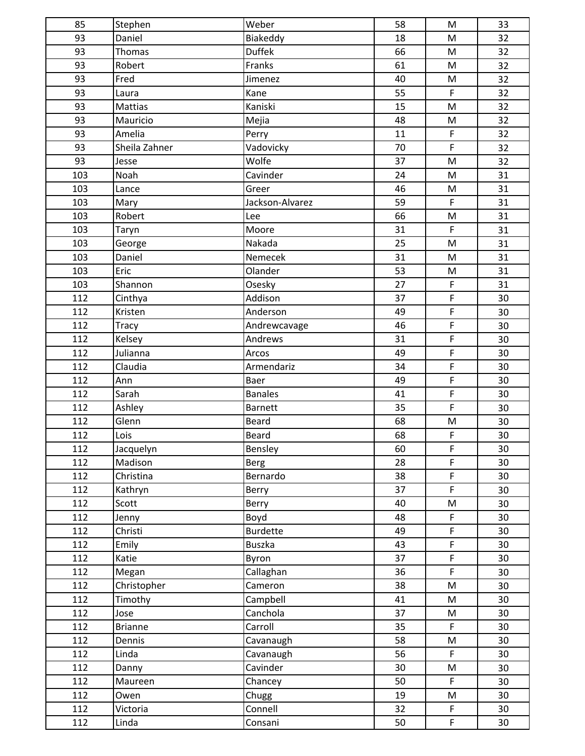| 85  | Stephen        | Weber           | 58 | M                                                                                     | 33 |
|-----|----------------|-----------------|----|---------------------------------------------------------------------------------------|----|
| 93  | Daniel         | Biakeddy        | 18 | ${\sf M}$                                                                             | 32 |
| 93  | Thomas         | <b>Duffek</b>   | 66 | M                                                                                     | 32 |
| 93  | Robert         | Franks          | 61 | ${\sf M}$                                                                             | 32 |
| 93  | Fred           | Jimenez         | 40 | $\mathsf{M}% _{T}=\mathsf{M}_{T}\!\left( a,b\right) ,\ \mathsf{M}_{T}=\mathsf{M}_{T}$ | 32 |
| 93  | Laura          | Kane            | 55 | $\mathsf F$                                                                           | 32 |
| 93  | Mattias        | Kaniski         | 15 | M                                                                                     | 32 |
| 93  | Mauricio       | Mejia           | 48 | M                                                                                     | 32 |
| 93  | Amelia         | Perry           | 11 | $\mathsf F$                                                                           | 32 |
| 93  | Sheila Zahner  | Vadovicky       | 70 | $\mathsf F$                                                                           | 32 |
| 93  | Jesse          | Wolfe           | 37 | M                                                                                     | 32 |
| 103 | Noah           | Cavinder        | 24 | ${\sf M}$                                                                             | 31 |
| 103 | Lance          | Greer           | 46 | M                                                                                     | 31 |
| 103 | Mary           | Jackson-Alvarez | 59 | $\mathsf F$                                                                           | 31 |
| 103 | Robert         | Lee             | 66 | ${\sf M}$                                                                             | 31 |
| 103 | Taryn          | Moore           | 31 | $\mathsf F$                                                                           | 31 |
| 103 | George         | Nakada          | 25 | M                                                                                     | 31 |
| 103 | Daniel         | Nemecek         | 31 | ${\sf M}$                                                                             | 31 |
| 103 | Eric           | Olander         | 53 | ${\sf M}$                                                                             | 31 |
| 103 | Shannon        | Osesky          | 27 | $\mathsf F$                                                                           | 31 |
| 112 | Cinthya        | Addison         | 37 | $\mathsf F$                                                                           | 30 |
| 112 | Kristen        | Anderson        | 49 | $\mathsf F$                                                                           | 30 |
| 112 | <b>Tracy</b>   | Andrewcavage    | 46 | $\mathsf F$                                                                           | 30 |
| 112 | Kelsey         | Andrews         | 31 | $\mathsf F$                                                                           | 30 |
| 112 | Julianna       | Arcos           | 49 | $\mathsf F$                                                                           | 30 |
| 112 | Claudia        | Armendariz      | 34 | $\mathsf F$                                                                           | 30 |
| 112 | Ann            | Baer            | 49 | $\overline{F}$                                                                        | 30 |
| 112 | Sarah          | <b>Banales</b>  | 41 | $\mathsf F$                                                                           | 30 |
| 112 | Ashley         | <b>Barnett</b>  | 35 | $\mathsf{F}$                                                                          | 30 |
| 112 | Glenn          | <b>Beard</b>    | 68 | ${\sf M}$                                                                             | 30 |
| 112 | Lois           | Beard           | 68 | $\mathsf F$                                                                           | 30 |
| 112 | Jacquelyn      | Bensley         | 60 | $\mathsf F$                                                                           | 30 |
| 112 | Madison        | Berg            | 28 | $\mathsf F$                                                                           | 30 |
| 112 | Christina      | Bernardo        | 38 | $\mathsf F$                                                                           | 30 |
| 112 | Kathryn        | Berry           | 37 | $\mathsf F$                                                                           | 30 |
| 112 | Scott          | Berry           | 40 | M                                                                                     | 30 |
| 112 | Jenny          | Boyd            | 48 | $\mathsf F$                                                                           | 30 |
| 112 | Christi        | Burdette        | 49 | $\mathsf F$                                                                           | 30 |
| 112 | Emily          | <b>Buszka</b>   | 43 | $\mathsf F$                                                                           | 30 |
| 112 | Katie          | Byron           | 37 | $\mathsf F$                                                                           | 30 |
| 112 | Megan          | Callaghan       | 36 | $\mathsf F$                                                                           | 30 |
| 112 | Christopher    | Cameron         | 38 | ${\sf M}$                                                                             | 30 |
| 112 | Timothy        | Campbell        | 41 | M                                                                                     | 30 |
| 112 | Jose           | Canchola        | 37 | M                                                                                     | 30 |
| 112 | <b>Brianne</b> | Carroll         | 35 | $\mathsf F$                                                                           | 30 |
| 112 | Dennis         | Cavanaugh       | 58 | M                                                                                     | 30 |
| 112 | Linda          | Cavanaugh       | 56 | $\mathsf F$                                                                           | 30 |
| 112 | Danny          | Cavinder        | 30 | M                                                                                     | 30 |
| 112 | Maureen        | Chancey         | 50 | $\mathsf F$                                                                           | 30 |
| 112 | Owen           | Chugg           | 19 | M                                                                                     | 30 |
| 112 | Victoria       | Connell         | 32 | $\mathsf F$                                                                           | 30 |
| 112 | Linda          | Consani         | 50 | $\mathsf F$                                                                           | 30 |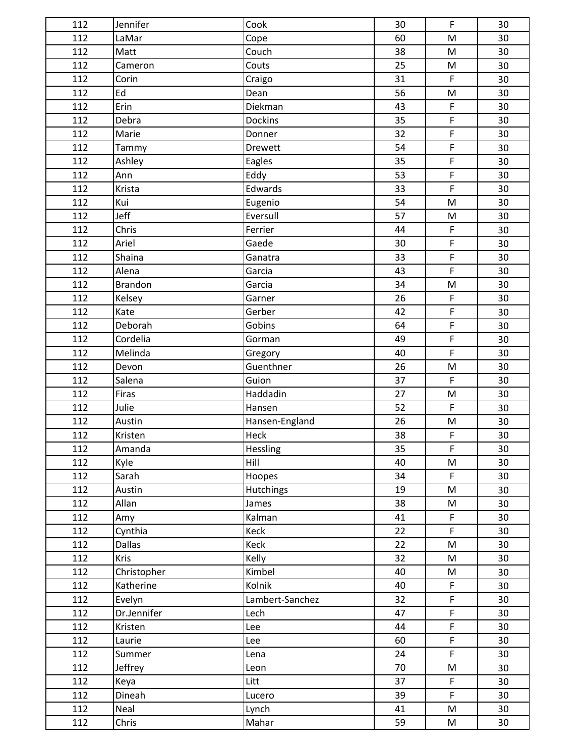| 112 | Jennifer       | Cook            | 30 | F                                                                                     | 30 |
|-----|----------------|-----------------|----|---------------------------------------------------------------------------------------|----|
| 112 | LaMar          | Cope            | 60 | $\mathsf{M}% _{T}=\mathsf{M}_{T}\!\left( a,b\right) ,\ \mathsf{M}_{T}=\mathsf{M}_{T}$ | 30 |
| 112 | Matt           | Couch           | 38 | M                                                                                     | 30 |
| 112 | Cameron        | Couts           | 25 | M                                                                                     | 30 |
| 112 | Corin          | Craigo          | 31 | $\mathsf F$                                                                           | 30 |
| 112 | Ed             | Dean            | 56 | ${\sf M}$                                                                             | 30 |
| 112 | Erin           | Diekman         | 43 | $\mathsf F$                                                                           | 30 |
| 112 | Debra          | <b>Dockins</b>  | 35 | $\mathsf F$                                                                           | 30 |
| 112 | Marie          | Donner          | 32 | $\overline{F}$                                                                        | 30 |
| 112 | Tammy          | Drewett         | 54 | $\mathsf F$                                                                           | 30 |
| 112 | Ashley         | Eagles          | 35 | $\mathsf F$                                                                           | 30 |
| 112 | Ann            | Eddy            | 53 | $\mathsf F$                                                                           | 30 |
| 112 | Krista         | Edwards         | 33 | $\mathsf F$                                                                           | 30 |
| 112 | Kui            | Eugenio         | 54 | ${\sf M}$                                                                             | 30 |
| 112 | Jeff           | Eversull        | 57 | ${\sf M}$                                                                             | 30 |
| 112 | Chris          | Ferrier         | 44 | $\mathsf F$                                                                           | 30 |
| 112 | Ariel          | Gaede           | 30 | $\mathsf F$                                                                           | 30 |
| 112 | Shaina         | Ganatra         | 33 | $\mathsf F$                                                                           | 30 |
| 112 | Alena          | Garcia          | 43 | $\mathsf F$                                                                           | 30 |
| 112 | <b>Brandon</b> | Garcia          | 34 | ${\sf M}$                                                                             | 30 |
| 112 | Kelsey         | Garner          | 26 | $\mathsf F$                                                                           | 30 |
| 112 | Kate           | Gerber          | 42 | $\mathsf F$                                                                           | 30 |
| 112 | Deborah        | Gobins          | 64 | $\mathsf F$                                                                           | 30 |
| 112 | Cordelia       | Gorman          | 49 | $\mathsf F$                                                                           | 30 |
| 112 | Melinda        | Gregory         | 40 | $\mathsf F$                                                                           | 30 |
| 112 | Devon          | Guenthner       | 26 | $\mathsf{M}% _{T}=\mathsf{M}_{T}\!\left( a,b\right) ,\ \mathsf{M}_{T}=\mathsf{M}_{T}$ | 30 |
| 112 | Salena         | Guion           | 37 | $\mathsf F$                                                                           | 30 |
| 112 | Firas          | Haddadin        | 27 | $\mathsf{M}% _{T}=\mathsf{M}_{T}\!\left( a,b\right) ,\ \mathsf{M}_{T}=\mathsf{M}_{T}$ | 30 |
| 112 | Julie          | Hansen          | 52 | $\mathsf F$                                                                           | 30 |
| 112 | Austin         | Hansen-England  | 26 | M                                                                                     | 30 |
| 112 | Kristen        | Heck            | 38 | $\mathsf F$                                                                           | 30 |
| 112 | Amanda         | <b>Hessling</b> | 35 | $\mathsf F$                                                                           | 30 |
| 112 | Kyle           | Hill            | 40 | ${\sf M}$                                                                             | 30 |
| 112 | Sarah          | Hoopes          | 34 | $\mathsf F$                                                                           | 30 |
| 112 | Austin         | Hutchings       | 19 | M                                                                                     | 30 |
| 112 | Allan          | James           | 38 | M                                                                                     | 30 |
| 112 | Amy            | Kalman          | 41 | $\mathsf F$                                                                           | 30 |
| 112 | Cynthia        | Keck            | 22 | $\mathsf{F}$                                                                          | 30 |
| 112 | <b>Dallas</b>  | Keck            | 22 | ${\sf M}$                                                                             | 30 |
| 112 | Kris           | Kelly           | 32 | M                                                                                     | 30 |
| 112 | Christopher    | Kimbel          | 40 | M                                                                                     | 30 |
| 112 | Katherine      | Kolnik          | 40 | $\mathsf F$                                                                           | 30 |
| 112 | Evelyn         | Lambert-Sanchez | 32 | $\mathsf F$                                                                           | 30 |
| 112 | Dr.Jennifer    | Lech            | 47 | $\mathsf F$                                                                           | 30 |
| 112 | Kristen        | Lee             | 44 | $\mathsf F$                                                                           | 30 |
| 112 | Laurie         | Lee             | 60 | $\mathsf F$                                                                           | 30 |
| 112 | Summer         | Lena            | 24 | F                                                                                     | 30 |
| 112 | Jeffrey        | Leon            | 70 | M                                                                                     | 30 |
| 112 | Keya           | Litt            | 37 | $\mathsf F$                                                                           | 30 |
| 112 | Dineah         | Lucero          | 39 | $\mathsf F$                                                                           | 30 |
| 112 | Neal           | Lynch           | 41 | M                                                                                     | 30 |
| 112 | Chris          | Mahar           | 59 | M                                                                                     | 30 |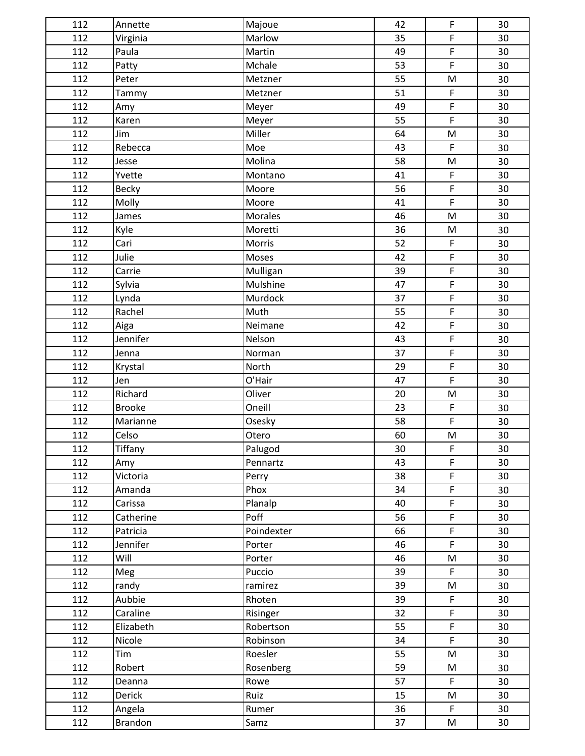| 112 | Annette        | Majoue     | 42 | F                                                                                     | 30 |
|-----|----------------|------------|----|---------------------------------------------------------------------------------------|----|
| 112 | Virginia       | Marlow     | 35 | $\mathsf F$                                                                           | 30 |
| 112 | Paula          | Martin     | 49 | $\mathsf F$                                                                           | 30 |
| 112 | Patty          | Mchale     | 53 | $\mathsf F$                                                                           | 30 |
| 112 | Peter          | Metzner    | 55 | ${\sf M}$                                                                             | 30 |
| 112 | Tammy          | Metzner    | 51 | $\mathsf F$                                                                           | 30 |
| 112 | Amy            | Meyer      | 49 | $\mathsf F$                                                                           | 30 |
| 112 | Karen          | Meyer      | 55 | $\mathsf F$                                                                           | 30 |
| 112 | Jim            | Miller     | 64 | ${\sf M}$                                                                             | 30 |
| 112 | Rebecca        | Moe        | 43 | $\mathsf F$                                                                           | 30 |
| 112 | Jesse          | Molina     | 58 | ${\sf M}$                                                                             | 30 |
| 112 | Yvette         | Montano    | 41 | $\mathsf F$                                                                           | 30 |
| 112 | Becky          | Moore      | 56 | $\mathsf F$                                                                           | 30 |
| 112 | Molly          | Moore      | 41 | $\mathsf F$                                                                           | 30 |
| 112 | James          | Morales    | 46 | $\mathsf{M}% _{T}=\mathsf{M}_{T}\!\left( a,b\right) ,\ \mathsf{M}_{T}=\mathsf{M}_{T}$ | 30 |
| 112 | Kyle           | Moretti    | 36 | ${\sf M}$                                                                             | 30 |
| 112 | Cari           | Morris     | 52 | $\mathsf F$                                                                           | 30 |
| 112 | Julie          | Moses      | 42 | $\mathsf F$                                                                           | 30 |
| 112 | Carrie         | Mulligan   | 39 | $\mathsf F$                                                                           | 30 |
| 112 | Sylvia         | Mulshine   | 47 | $\mathsf F$                                                                           | 30 |
| 112 | Lynda          | Murdock    | 37 | $\mathsf F$                                                                           | 30 |
| 112 | Rachel         | Muth       | 55 | $\mathsf F$                                                                           | 30 |
| 112 | Aiga           | Neimane    | 42 | $\mathsf F$                                                                           | 30 |
| 112 | Jennifer       | Nelson     | 43 | $\mathsf F$                                                                           | 30 |
| 112 | Jenna          | Norman     | 37 | $\mathsf F$                                                                           | 30 |
| 112 | Krystal        | North      | 29 | $\mathsf F$                                                                           | 30 |
| 112 | Jen            | O'Hair     | 47 | $\overline{F}$                                                                        | 30 |
| 112 | Richard        | Oliver     | 20 | ${\sf M}$                                                                             | 30 |
| 112 | <b>Brooke</b>  | Oneill     | 23 | $\mathsf F$                                                                           | 30 |
| 112 | Marianne       | Osesky     | 58 | $\mathsf F$                                                                           | 30 |
| 112 | Celso          | Otero      | 60 | ${\sf M}$                                                                             | 30 |
| 112 | <b>Tiffany</b> | Palugod    | 30 | $\mathsf F$                                                                           | 30 |
| 112 | Amy            | Pennartz   | 43 | $\mathsf F$                                                                           | 30 |
| 112 | Victoria       | Perry      | 38 | $\mathsf F$                                                                           | 30 |
| 112 | Amanda         | Phox       | 34 | $\mathsf F$                                                                           | 30 |
| 112 | Carissa        | Planalp    | 40 | $\mathsf F$                                                                           | 30 |
| 112 | Catherine      | Poff       | 56 | $\mathsf F$                                                                           | 30 |
| 112 | Patricia       | Poindexter | 66 | $\mathsf F$                                                                           | 30 |
| 112 | Jennifer       | Porter     | 46 | $\mathsf{F}$                                                                          | 30 |
| 112 | Will           | Porter     | 46 | M                                                                                     | 30 |
| 112 | Meg            | Puccio     | 39 | $\mathsf F$                                                                           | 30 |
| 112 | randy          | ramirez    | 39 | M                                                                                     | 30 |
| 112 | Aubbie         | Rhoten     | 39 | F                                                                                     | 30 |
| 112 | Caraline       | Risinger   | 32 | $\mathsf F$                                                                           | 30 |
| 112 | Elizabeth      | Robertson  | 55 | $\mathsf F$                                                                           | 30 |
| 112 | Nicole         | Robinson   | 34 | $\mathsf F$                                                                           | 30 |
| 112 | Tim            | Roesler    | 55 | ${\sf M}$                                                                             | 30 |
| 112 | Robert         | Rosenberg  | 59 | M                                                                                     | 30 |
| 112 | Deanna         | Rowe       | 57 | $\mathsf F$                                                                           | 30 |
| 112 | Derick         | Ruiz       | 15 | M                                                                                     | 30 |
| 112 | Angela         | Rumer      | 36 | $\mathsf F$                                                                           | 30 |
| 112 | Brandon        | Samz       | 37 | M                                                                                     | 30 |
|     |                |            |    |                                                                                       |    |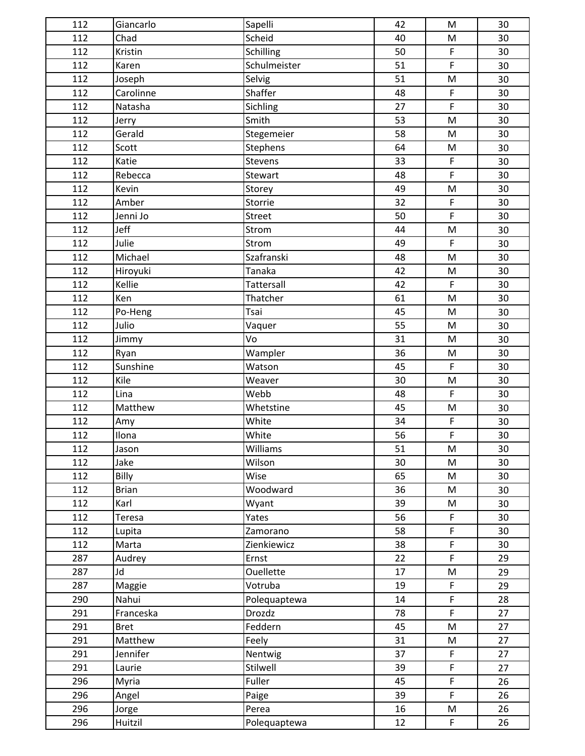| 112 | Giancarlo    | Sapelli          | 42 | M                                                                                     | 30 |
|-----|--------------|------------------|----|---------------------------------------------------------------------------------------|----|
| 112 | Chad         | Scheid           | 40 | ${\sf M}$                                                                             | 30 |
| 112 | Kristin      | Schilling        | 50 | $\mathsf F$                                                                           | 30 |
| 112 | Karen        | Schulmeister     | 51 | $\mathsf{F}$                                                                          | 30 |
| 112 | Joseph       | Selvig           | 51 | ${\sf M}$                                                                             | 30 |
| 112 | Carolinne    | Shaffer          | 48 | $\mathsf F$                                                                           | 30 |
| 112 | Natasha      | Sichling         | 27 | $\mathsf F$                                                                           | 30 |
| 112 | Jerry        | Smith            | 53 | M                                                                                     | 30 |
| 112 | Gerald       | Stegemeier       | 58 | ${\sf M}$                                                                             | 30 |
| 112 | Scott        | <b>Stephens</b>  | 64 | $\mathsf{M}% _{T}=\mathsf{M}_{T}\!\left( a,b\right) ,\ \mathsf{M}_{T}=\mathsf{M}_{T}$ | 30 |
| 112 | Katie        | Stevens          | 33 | $\mathsf F$                                                                           | 30 |
| 112 | Rebecca      | Stewart          | 48 | $\mathsf F$                                                                           | 30 |
| 112 | Kevin        | Storey           | 49 | ${\sf M}$                                                                             | 30 |
| 112 | Amber        | Storrie          | 32 | $\mathsf F$                                                                           | 30 |
| 112 | Jenni Jo     | Street           | 50 | $\mathsf F$                                                                           | 30 |
| 112 | Jeff         | Strom            | 44 | $\mathsf{M}% _{T}=\mathsf{M}_{T}\!\left( a,b\right) ,\ \mathsf{M}_{T}=\mathsf{M}_{T}$ | 30 |
| 112 | Julie        | Strom            | 49 | $\mathsf F$                                                                           | 30 |
| 112 | Michael      | Szafranski       | 48 | $\mathsf{M}% _{T}=\mathsf{M}_{T}\!\left( a,b\right) ,\ \mathsf{M}_{T}=\mathsf{M}_{T}$ | 30 |
| 112 | Hiroyuki     | Tanaka           | 42 | ${\sf M}$                                                                             | 30 |
| 112 | Kellie       | Tattersall       | 42 | $\mathsf F$                                                                           | 30 |
| 112 | Ken          | Thatcher         | 61 | M                                                                                     | 30 |
| 112 | Po-Heng      | Tsai             | 45 | ${\sf M}$                                                                             | 30 |
| 112 | Julio        | Vaquer           | 55 | M                                                                                     | 30 |
| 112 | Jimmy        | Vo               | 31 | ${\sf M}$                                                                             | 30 |
| 112 | Ryan         | Wampler          | 36 | ${\sf M}$                                                                             | 30 |
| 112 | Sunshine     | Watson           | 45 | $\mathsf{F}$                                                                          | 30 |
| 112 | Kile         | Weaver           | 30 | ${\sf M}$                                                                             | 30 |
| 112 | Lina         | Webb             | 48 | $\mathsf F$                                                                           | 30 |
| 112 | Matthew      | Whetstine        | 45 | ${\sf M}$                                                                             | 30 |
| 112 | Amy          | White            | 34 | $\mathsf F$                                                                           | 30 |
| 112 | Ilona        | White            | 56 | $\mathsf F$                                                                           | 30 |
| 112 | Jason        | Williams         | 51 | ${\sf M}$                                                                             | 30 |
| 112 | Jake         | Wilson           | 30 | ${\sf M}$                                                                             | 30 |
| 112 | Billy        | Wise             | 65 | ${\sf M}$                                                                             | 30 |
| 112 | <b>Brian</b> | Woodward         | 36 | M                                                                                     | 30 |
| 112 | Karl         | Wyant            | 39 | M                                                                                     | 30 |
| 112 | Teresa       | Yates            | 56 | $\mathsf F$                                                                           | 30 |
| 112 | Lupita       | Zamorano         | 58 | $\mathsf F$                                                                           | 30 |
| 112 | Marta        | Zienkiewicz      | 38 | $\mathsf F$                                                                           | 30 |
| 287 | Audrey       | Ernst            | 22 | $\mathsf F$                                                                           | 29 |
| 287 | Jd           | <b>Ouellette</b> | 17 | M                                                                                     | 29 |
| 287 | Maggie       | Votruba          | 19 | $\mathsf F$                                                                           | 29 |
| 290 | Nahui        | Polequaptewa     | 14 | $\mathsf F$                                                                           | 28 |
| 291 | Franceska    | Drozdz           | 78 | $\mathsf{F}$                                                                          | 27 |
| 291 | <b>Bret</b>  | Feddern          | 45 | $\mathsf{M}% _{T}=\mathsf{M}_{T}\!\left( a,b\right) ,\ \mathsf{M}_{T}=\mathsf{M}_{T}$ | 27 |
| 291 | Matthew      | Feely            | 31 | M                                                                                     | 27 |
| 291 | Jennifer     | Nentwig          | 37 | $\mathsf F$                                                                           | 27 |
| 291 | Laurie       | Stilwell         | 39 | $\mathsf F$                                                                           | 27 |
| 296 | Myria        | Fuller           | 45 | $\mathsf F$                                                                           | 26 |
| 296 | Angel        | Paige            | 39 | $\mathsf F$                                                                           | 26 |
| 296 | Jorge        | Perea            | 16 | M                                                                                     | 26 |
| 296 | Huitzil      | Polequaptewa     | 12 | $\mathsf F$                                                                           | 26 |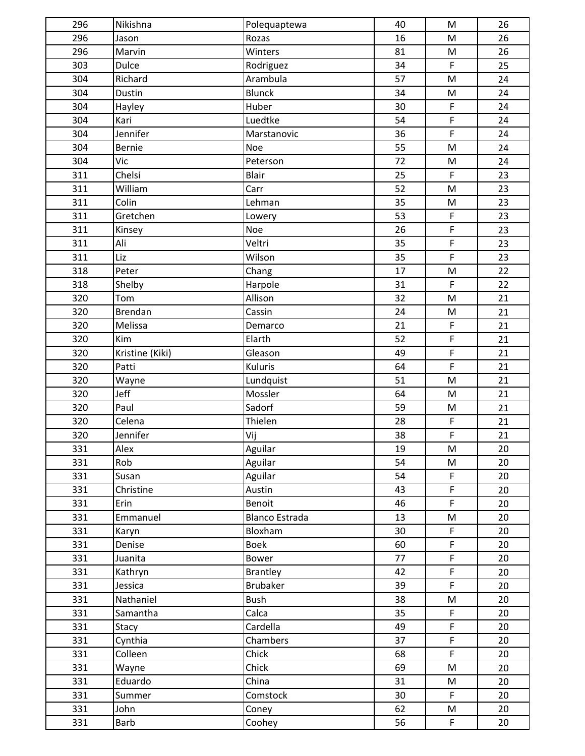| 296 | Nikishna        | Polequaptewa          | 40 | ${\sf M}$                                                                             | 26 |
|-----|-----------------|-----------------------|----|---------------------------------------------------------------------------------------|----|
| 296 | Jason           | Rozas                 | 16 | ${\sf M}$                                                                             | 26 |
| 296 | Marvin          | Winters               | 81 | ${\sf M}$                                                                             | 26 |
| 303 | Dulce           | Rodriguez             | 34 | $\mathsf F$                                                                           | 25 |
| 304 | Richard         | Arambula              | 57 | $\mathsf{M}% _{T}=\mathsf{M}_{T}\!\left( a,b\right) ,\ \mathsf{M}_{T}=\mathsf{M}_{T}$ | 24 |
| 304 | Dustin          | <b>Blunck</b>         | 34 | ${\sf M}$                                                                             | 24 |
| 304 | Hayley          | Huber                 | 30 | $\mathsf F$                                                                           | 24 |
| 304 | Kari            | Luedtke               | 54 | $\mathsf F$                                                                           | 24 |
| 304 | Jennifer        | Marstanovic           | 36 | $\overline{F}$                                                                        | 24 |
| 304 | <b>Bernie</b>   | Noe                   | 55 | $\mathsf{M}% _{T}=\mathsf{M}_{T}\!\left( a,b\right) ,\ \mathsf{M}_{T}=\mathsf{M}_{T}$ | 24 |
| 304 | Vic             | Peterson              | 72 | ${\sf M}$                                                                             | 24 |
| 311 | Chelsi          | Blair                 | 25 | $\mathsf F$                                                                           | 23 |
| 311 | William         | Carr                  | 52 | ${\sf M}$                                                                             | 23 |
| 311 | Colin           | Lehman                | 35 | ${\sf M}$                                                                             | 23 |
| 311 | Gretchen        | Lowery                | 53 | $\mathsf F$                                                                           | 23 |
| 311 | Kinsey          | Noe                   | 26 | $\mathsf F$                                                                           | 23 |
| 311 | Ali             | Veltri                | 35 | $\mathsf F$                                                                           | 23 |
| 311 | Liz             | Wilson                | 35 | $\mathsf F$                                                                           | 23 |
| 318 | Peter           | Chang                 | 17 | $\mathsf{M}% _{T}=\mathsf{M}_{T}\!\left( a,b\right) ,\ \mathsf{M}_{T}=\mathsf{M}_{T}$ | 22 |
| 318 | Shelby          | Harpole               | 31 | $\mathsf F$                                                                           | 22 |
| 320 | Tom             | Allison               | 32 | M                                                                                     | 21 |
| 320 | <b>Brendan</b>  | Cassin                | 24 | ${\sf M}$                                                                             | 21 |
| 320 | Melissa         | Demarco               | 21 | $\mathsf F$                                                                           | 21 |
| 320 | Kim             | Elarth                | 52 | $\mathsf F$                                                                           | 21 |
| 320 | Kristine (Kiki) | Gleason               | 49 | $\mathsf F$                                                                           | 21 |
| 320 | Patti           | Kuluris               | 64 | $\mathsf{F}$                                                                          | 21 |
| 320 | Wayne           | Lundquist             | 51 | $\mathsf{M}% _{T}=\mathsf{M}_{T}\!\left( a,b\right) ,\ \mathsf{M}_{T}=\mathsf{M}_{T}$ | 21 |
| 320 | Jeff            | Mossler               | 64 | ${\sf M}$                                                                             | 21 |
| 320 | Paul            | Sadorf                | 59 | ${\sf M}$                                                                             | 21 |
| 320 | Celena          | Thielen               | 28 | $\mathsf F$                                                                           | 21 |
| 320 | Jennifer        | Vij                   | 38 | $\mathsf F$                                                                           | 21 |
| 331 | Alex            | Aguilar               | 19 | $\mathsf{M}% _{T}=\mathsf{M}_{T}\!\left( a,b\right) ,\ \mathsf{M}_{T}=\mathsf{M}_{T}$ | 20 |
| 331 | Rob             | Aguilar               | 54 | ${\sf M}$                                                                             | 20 |
| 331 | Susan           | Aguilar               | 54 | $\mathsf F$                                                                           | 20 |
| 331 | Christine       | Austin                | 43 | $\mathsf F$                                                                           | 20 |
| 331 | Erin            | Benoit                | 46 | $\mathsf F$                                                                           | 20 |
| 331 | Emmanuel        | <b>Blanco Estrada</b> | 13 | M                                                                                     | 20 |
| 331 | Karyn           | Bloxham               | 30 | $\mathsf F$                                                                           | 20 |
| 331 | Denise          | <b>Boek</b>           | 60 | $\mathsf F$                                                                           | 20 |
| 331 | Juanita         | Bower                 | 77 | $\mathsf F$                                                                           | 20 |
| 331 | Kathryn         | <b>Brantley</b>       | 42 | $\mathsf F$                                                                           | 20 |
| 331 | Jessica         | <b>Brubaker</b>       | 39 | F                                                                                     | 20 |
| 331 | Nathaniel       | <b>Bush</b>           | 38 | M                                                                                     | 20 |
| 331 | Samantha        | Calca                 | 35 | F                                                                                     | 20 |
| 331 | Stacy           | Cardella              | 49 | $\mathsf F$                                                                           | 20 |
| 331 | Cynthia         | Chambers              | 37 | $\mathsf F$                                                                           | 20 |
| 331 | Colleen         | Chick                 | 68 | $\mathsf F$                                                                           | 20 |
| 331 | Wayne           | Chick                 | 69 | ${\sf M}$                                                                             | 20 |
| 331 | Eduardo         | China                 | 31 | M                                                                                     | 20 |
| 331 | Summer          | Comstock              | 30 | $\mathsf F$                                                                           | 20 |
| 331 | John            | Coney                 | 62 | M                                                                                     | 20 |
| 331 | Barb            | Coohey                | 56 | $\mathsf F$                                                                           | 20 |
|     |                 |                       |    |                                                                                       |    |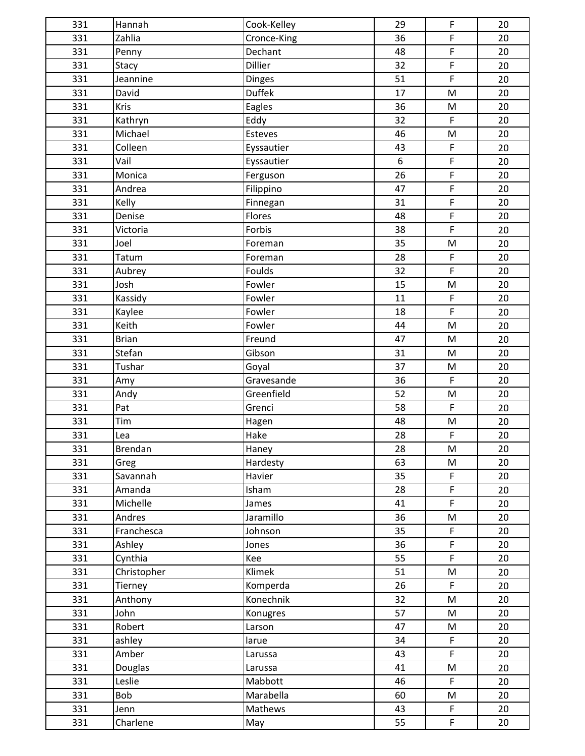| 331 | Hannah       | Cook-Kelley   | 29              | $\mathsf F$                                                                                                | 20 |
|-----|--------------|---------------|-----------------|------------------------------------------------------------------------------------------------------------|----|
| 331 | Zahlia       | Cronce-King   | 36              | F                                                                                                          | 20 |
| 331 | Penny        | Dechant       | 48              | $\mathsf F$                                                                                                | 20 |
| 331 | Stacy        | Dillier       | 32              | $\mathsf F$                                                                                                | 20 |
| 331 | Jeannine     | <b>Dinges</b> | 51              | $\overline{F}$                                                                                             | 20 |
| 331 | David        | <b>Duffek</b> | 17              | $\mathsf{M}% _{T}=\mathsf{M}_{T}\!\left( a,b\right) ,\ \mathsf{M}_{T}=\mathsf{M}_{T}$                      | 20 |
| 331 | Kris         | Eagles        | 36              | ${\sf M}$                                                                                                  | 20 |
| 331 | Kathryn      | Eddy          | 32              | $\mathsf F$                                                                                                | 20 |
| 331 | Michael      | Esteves       | 46              | ${\sf M}$                                                                                                  | 20 |
| 331 | Colleen      | Eyssautier    | 43              | $\mathsf F$                                                                                                | 20 |
| 331 | Vail         | Eyssautier    | 6               | $\mathsf F$                                                                                                | 20 |
| 331 | Monica       | Ferguson      | 26              | $\mathsf F$                                                                                                | 20 |
| 331 | Andrea       | Filippino     | 47              | $\mathsf F$                                                                                                | 20 |
| 331 | Kelly        | Finnegan      | 31              | $\overline{F}$                                                                                             | 20 |
| 331 | Denise       | Flores        | 48              | $\mathsf F$                                                                                                | 20 |
| 331 | Victoria     | Forbis        | 38              | $\mathsf F$                                                                                                | 20 |
| 331 | Joel         | Foreman       | 35              | ${\sf M}$                                                                                                  | 20 |
| 331 | Tatum        | Foreman       | 28              | $\mathsf F$                                                                                                | 20 |
| 331 | Aubrey       | Foulds        | 32              | $\mathsf F$                                                                                                | 20 |
| 331 | Josh         | Fowler        | 15              | $\mathsf{M}% _{T}=\mathsf{M}_{T}\!\left( a,b\right) ,\ \mathsf{M}_{T}=\mathsf{M}_{T}$                      | 20 |
| 331 | Kassidy      | Fowler        | 11              | $\mathsf F$                                                                                                | 20 |
| 331 | Kaylee       | Fowler        | 18              | $\mathsf F$                                                                                                | 20 |
| 331 | Keith        | Fowler        | 44              | $\mathsf{M}% _{T}=\mathsf{M}_{T}\!\left( a,b\right) ,\ \mathsf{M}_{T}=\mathsf{M}_{T}$                      | 20 |
| 331 | <b>Brian</b> | Freund        | 47              | ${\sf M}$                                                                                                  | 20 |
| 331 | Stefan       | Gibson        | 31              | ${\sf M}$                                                                                                  | 20 |
| 331 | Tushar       | Goyal         | 37              | ${\sf M}$                                                                                                  | 20 |
| 331 | Amy          | Gravesande    | 36              | $\mathsf F$                                                                                                | 20 |
| 331 | Andy         | Greenfield    | 52              | ${\sf M}$                                                                                                  | 20 |
| 331 | Pat          | Grenci        | 58              | $\mathsf F$                                                                                                | 20 |
| 331 | Tim          | Hagen         | 48              | ${\sf M}$                                                                                                  | 20 |
| 331 | Lea          | Hake          | 28              | $\mathsf F$                                                                                                | 20 |
| 331 | Brendan      | Haney         | $\overline{28}$ | $\mathsf{M}% _{T}=\mathsf{M}_{T}\!\left( a,b\right) ,\ \mathsf{M}_{T}=\mathsf{M}_{T}$                      | 20 |
| 331 | Greg         | Hardesty      | 63              | M                                                                                                          | 20 |
| 331 | Savannah     | Havier        | 35              | F                                                                                                          | 20 |
| 331 | Amanda       | Isham         | 28              | $\mathsf F$                                                                                                | 20 |
| 331 | Michelle     | James         | 41              | $\mathsf F$                                                                                                | 20 |
| 331 | Andres       | Jaramillo     | 36              | M                                                                                                          | 20 |
| 331 | Franchesca   | Johnson       | 35              | $\mathsf F$                                                                                                | 20 |
| 331 | Ashley       | Jones         | 36              | $\mathsf F$                                                                                                | 20 |
| 331 | Cynthia      | Kee           | 55              | $\mathsf F$                                                                                                | 20 |
| 331 | Christopher  | Klimek        | 51              | $\mathsf{M}% _{T}=\mathsf{M}_{T}\!\left( a,b\right) ,\ \mathsf{M}_{T}=\mathsf{M}_{T}\!\left( a,b\right) ,$ | 20 |
| 331 | Tierney      | Komperda      | 26              | $\mathsf F$                                                                                                | 20 |
| 331 | Anthony      | Konechnik     | 32              | ${\sf M}$                                                                                                  | 20 |
| 331 | John         | Konugres      | 57              | ${\sf M}$                                                                                                  | 20 |
| 331 | Robert       | Larson        | 47              | M                                                                                                          | 20 |
| 331 | ashley       | larue         | 34              | $\mathsf F$                                                                                                | 20 |
| 331 | Amber        | Larussa       | 43              | F                                                                                                          | 20 |
| 331 | Douglas      | Larussa       | 41              | M                                                                                                          | 20 |
| 331 | Leslie       | Mabbott       | 46              | $\mathsf F$                                                                                                | 20 |
| 331 | Bob          | Marabella     | 60              | M                                                                                                          | 20 |
| 331 | Jenn         | Mathews       | 43              | $\mathsf F$                                                                                                | 20 |
| 331 | Charlene     | May           | 55              | $\mathsf F$                                                                                                | 20 |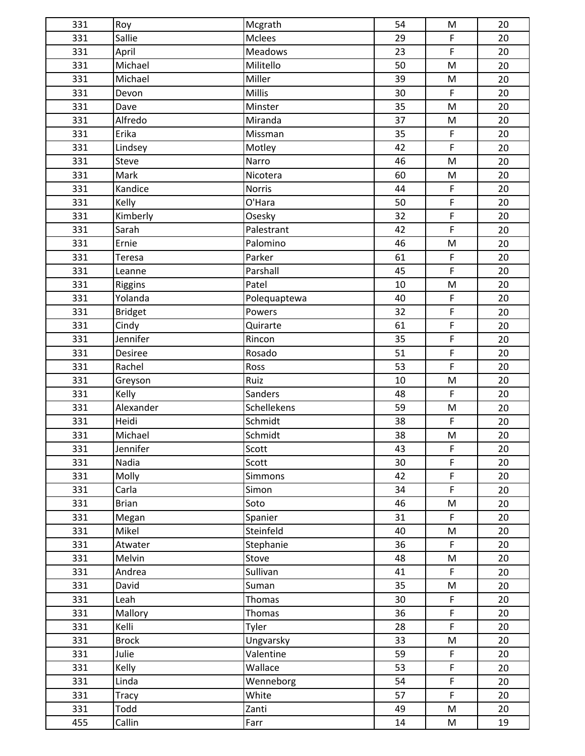| 331 | Roy            | Mcgrath        | 54 | M                                                                                     | 20 |
|-----|----------------|----------------|----|---------------------------------------------------------------------------------------|----|
| 331 | Sallie         | Mclees         | 29 | $\mathsf F$                                                                           | 20 |
| 331 | April          | <b>Meadows</b> | 23 | $\mathsf F$                                                                           | 20 |
| 331 | Michael        | Militello      | 50 | ${\sf M}$                                                                             | 20 |
| 331 | Michael        | Miller         | 39 | ${\sf M}$                                                                             | 20 |
| 331 | Devon          | <b>Millis</b>  | 30 | $\mathsf F$                                                                           | 20 |
| 331 | Dave           | Minster        | 35 | $\mathsf{M}% _{T}=\mathsf{M}_{T}\!\left( a,b\right) ,\ \mathsf{M}_{T}=\mathsf{M}_{T}$ | 20 |
| 331 | Alfredo        | Miranda        | 37 | M                                                                                     | 20 |
| 331 | Erika          | Missman        | 35 | $\mathsf F$                                                                           | 20 |
| 331 | Lindsey        | Motley         | 42 | $\mathsf{F}$                                                                          | 20 |
| 331 | Steve          | Narro          | 46 | ${\sf M}$                                                                             | 20 |
| 331 | Mark           | Nicotera       | 60 | ${\sf M}$                                                                             | 20 |
| 331 | Kandice        | <b>Norris</b>  | 44 | $\mathsf F$                                                                           | 20 |
| 331 | Kelly          | O'Hara         | 50 | $\mathsf F$                                                                           | 20 |
| 331 | Kimberly       | Osesky         | 32 | $\mathsf F$                                                                           | 20 |
| 331 | Sarah          | Palestrant     | 42 | $\mathsf F$                                                                           | 20 |
| 331 | Ernie          | Palomino       | 46 | ${\sf M}$                                                                             | 20 |
| 331 | Teresa         | Parker         | 61 | $\mathsf F$                                                                           | 20 |
| 331 | Leanne         | Parshall       | 45 | $\overline{F}$                                                                        | 20 |
| 331 | Riggins        | Patel          | 10 | $\mathsf{M}% _{T}=\mathsf{M}_{T}\!\left( a,b\right) ,\ \mathsf{M}_{T}=\mathsf{M}_{T}$ | 20 |
| 331 | Yolanda        | Polequaptewa   | 40 | $\mathsf F$                                                                           | 20 |
| 331 | <b>Bridget</b> | Powers         | 32 | $\mathsf F$                                                                           | 20 |
| 331 | Cindy          | Quirarte       | 61 | $\mathsf F$                                                                           | 20 |
| 331 | Jennifer       | Rincon         | 35 | $\mathsf F$                                                                           | 20 |
| 331 | Desiree        | Rosado         | 51 | $\mathsf F$                                                                           | 20 |
| 331 | Rachel         | Ross           | 53 | $\mathsf{F}$                                                                          | 20 |
| 331 | Greyson        | Ruiz           | 10 | ${\sf M}$                                                                             | 20 |
| 331 | Kelly          | Sanders        | 48 | $\mathsf F$                                                                           | 20 |
| 331 | Alexander      | Schellekens    | 59 | ${\sf M}$                                                                             | 20 |
| 331 | Heidi          | Schmidt        | 38 | $\mathsf F$                                                                           | 20 |
| 331 | Michael        | Schmidt        | 38 | M                                                                                     | 20 |
| 331 | Jennifer       | Scott          | 43 | F                                                                                     | 20 |
| 331 | Nadia          | Scott          | 30 | F                                                                                     | 20 |
| 331 | Molly          | <b>Simmons</b> | 42 | F                                                                                     | 20 |
| 331 | Carla          | Simon          | 34 | $\mathsf F$                                                                           | 20 |
| 331 | <b>Brian</b>   | Soto           | 46 | M                                                                                     | 20 |
| 331 | Megan          | Spanier        | 31 | $\mathsf F$                                                                           | 20 |
| 331 | Mikel          | Steinfeld      | 40 | M                                                                                     | 20 |
| 331 | Atwater        | Stephanie      | 36 | F                                                                                     | 20 |
| 331 | Melvin         | Stove          | 48 | M                                                                                     | 20 |
| 331 | Andrea         | Sullivan       | 41 | $\mathsf F$                                                                           | 20 |
| 331 | David          | Suman          | 35 | M                                                                                     | 20 |
| 331 | Leah           | <b>Thomas</b>  | 30 | $\mathsf F$                                                                           | 20 |
| 331 | Mallory        | Thomas         | 36 | $\mathsf F$                                                                           | 20 |
| 331 | Kelli          | <b>Tyler</b>   | 28 | $\mathsf F$                                                                           | 20 |
| 331 | <b>Brock</b>   | Ungvarsky      | 33 | M                                                                                     | 20 |
| 331 | Julie          | Valentine      | 59 | $\mathsf F$                                                                           | 20 |
| 331 | Kelly          | Wallace        | 53 | $\mathsf F$                                                                           | 20 |
| 331 | Linda          | Wenneborg      | 54 | $\mathsf F$                                                                           | 20 |
| 331 | Tracy          | White          | 57 | $\mathsf F$                                                                           | 20 |
| 331 | Todd           | Zanti          | 49 | M                                                                                     | 20 |
| 455 | Callin         | Farr           | 14 | M                                                                                     | 19 |
|     |                |                |    |                                                                                       |    |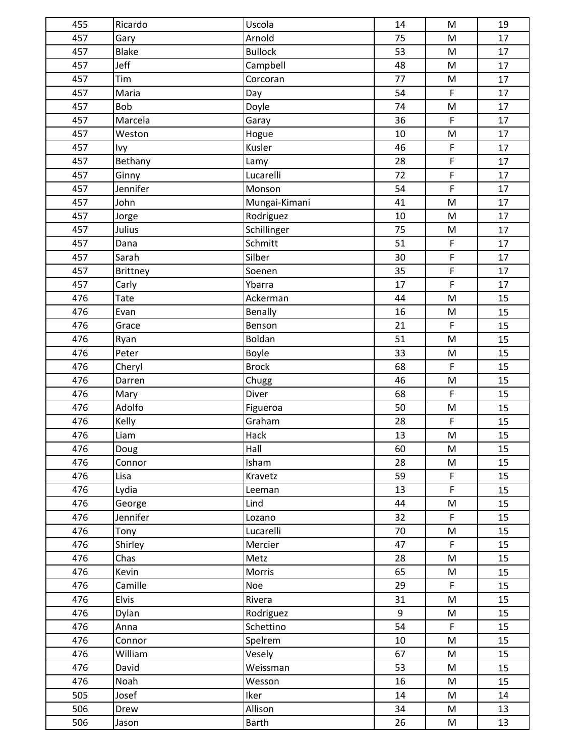| 455 | Ricardo      | Uscola         | 14 | $\mathsf{M}% _{T}=\mathsf{M}_{T}\!\left( a,b\right) ,\ \mathsf{M}_{T}=\mathsf{M}_{T}$                      | 19 |
|-----|--------------|----------------|----|------------------------------------------------------------------------------------------------------------|----|
| 457 | Gary         | Arnold         | 75 | ${\sf M}$                                                                                                  | 17 |
| 457 | <b>Blake</b> | <b>Bullock</b> | 53 | ${\sf M}$                                                                                                  | 17 |
| 457 | Jeff         | Campbell       | 48 | M                                                                                                          | 17 |
| 457 | Tim          | Corcoran       | 77 | $\mathsf{M}% _{T}=\mathsf{M}_{T}\!\left( a,b\right) ,\ \mathsf{M}_{T}=\mathsf{M}_{T}$                      | 17 |
| 457 | Maria        | Day            | 54 | $\mathsf F$                                                                                                | 17 |
| 457 | Bob          | Doyle          | 74 | ${\sf M}$                                                                                                  | 17 |
| 457 | Marcela      | Garay          | 36 | $\mathsf F$                                                                                                | 17 |
| 457 | Weston       | Hogue          | 10 | ${\sf M}$                                                                                                  | 17 |
| 457 | Ivy          | Kusler         | 46 | $\mathsf F$                                                                                                | 17 |
| 457 | Bethany      | Lamy           | 28 | F                                                                                                          | 17 |
| 457 | Ginny        | Lucarelli      | 72 | $\mathsf F$                                                                                                | 17 |
| 457 | Jennifer     | Monson         | 54 | $\mathsf F$                                                                                                | 17 |
| 457 | John         | Mungai-Kimani  | 41 | ${\sf M}$                                                                                                  | 17 |
| 457 | Jorge        | Rodriguez      | 10 | $\mathsf{M}% _{T}=\mathsf{M}_{T}\!\left( a,b\right) ,\ \mathsf{M}_{T}=\mathsf{M}_{T}$                      | 17 |
| 457 | Julius       | Schillinger    | 75 | ${\sf M}$                                                                                                  | 17 |
| 457 | Dana         | Schmitt        | 51 | $\mathsf F$                                                                                                | 17 |
| 457 | Sarah        | Silber         | 30 | $\mathsf F$                                                                                                | 17 |
| 457 | Brittney     | Soenen         | 35 | $\mathsf F$                                                                                                | 17 |
| 457 | Carly        | Ybarra         | 17 | $\mathsf F$                                                                                                | 17 |
| 476 | Tate         | Ackerman       | 44 | M                                                                                                          | 15 |
| 476 | Evan         | Benally        | 16 | ${\sf M}$                                                                                                  | 15 |
| 476 | Grace        | Benson         | 21 | $\mathsf F$                                                                                                | 15 |
| 476 | Ryan         | Boldan         | 51 | ${\sf M}$                                                                                                  | 15 |
| 476 | Peter        | <b>Boyle</b>   | 33 | M                                                                                                          | 15 |
| 476 | Cheryl       | <b>Brock</b>   | 68 | $\mathsf F$                                                                                                | 15 |
| 476 | Darren       | Chugg          | 46 | ${\sf M}$                                                                                                  | 15 |
| 476 | Mary         | Diver          | 68 | $\mathsf F$                                                                                                | 15 |
| 476 | Adolfo       | Figueroa       | 50 | ${\sf M}$                                                                                                  | 15 |
| 476 | Kelly        | Graham         | 28 | $\mathsf F$                                                                                                | 15 |
| 476 | Liam         | Hack           | 13 | M                                                                                                          | 15 |
| 476 | Doug         | Hall           | 60 | M                                                                                                          | 15 |
| 476 | Connor       | Isham          | 28 | ${\sf M}$                                                                                                  | 15 |
| 476 | Lisa         | Kravetz        | 59 | $\mathsf F$                                                                                                | 15 |
| 476 | Lydia        | Leeman         | 13 | $\mathsf F$                                                                                                | 15 |
| 476 | George       | Lind           | 44 | M                                                                                                          | 15 |
| 476 | Jennifer     | Lozano         | 32 | $\mathsf F$                                                                                                | 15 |
| 476 | Tony         | Lucarelli      | 70 | $\mathsf{M}% _{T}=\mathsf{M}_{T}\!\left( a,b\right) ,\ \mathsf{M}_{T}=\mathsf{M}_{T}\!\left( a,b\right) ,$ | 15 |
| 476 | Shirley      | Mercier        | 47 | $\mathsf F$                                                                                                | 15 |
| 476 | Chas         | Metz           | 28 | M                                                                                                          | 15 |
| 476 | Kevin        | Morris         | 65 | M                                                                                                          | 15 |
| 476 | Camille      | Noe            | 29 | $\mathsf F$                                                                                                | 15 |
| 476 | Elvis        | Rivera         | 31 | M                                                                                                          | 15 |
| 476 | Dylan        | Rodriguez      | 9  | ${\sf M}$                                                                                                  | 15 |
| 476 | Anna         | Schettino      | 54 | F.                                                                                                         | 15 |
| 476 | Connor       | Spelrem        | 10 | M                                                                                                          | 15 |
| 476 | William      | Vesely         | 67 | M                                                                                                          | 15 |
| 476 | David        | Weissman       | 53 | M                                                                                                          | 15 |
| 476 | Noah         | Wesson         | 16 | ${\sf M}$                                                                                                  | 15 |
| 505 | Josef        | Iker           | 14 | M                                                                                                          | 14 |
| 506 | Drew         | Allison        | 34 | M                                                                                                          | 13 |
| 506 | Jason        | <b>Barth</b>   | 26 | M                                                                                                          | 13 |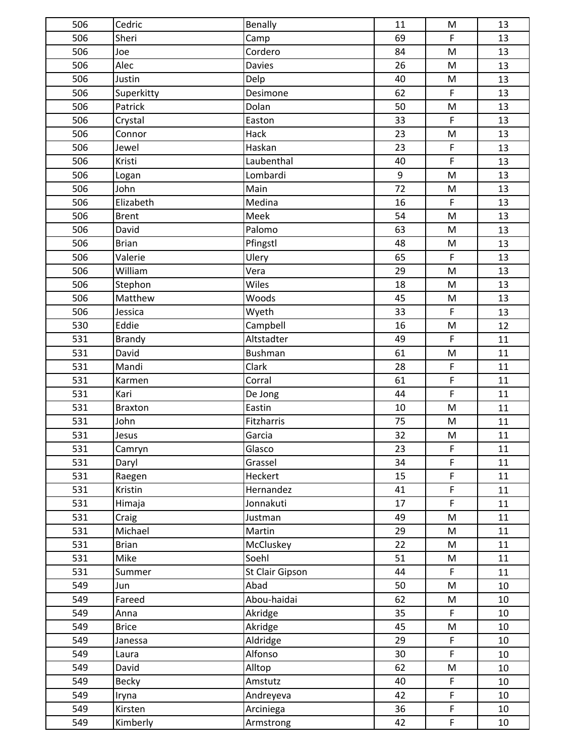| 506 | Cedric         | Benally         | 11    | M                                                                                     | 13 |
|-----|----------------|-----------------|-------|---------------------------------------------------------------------------------------|----|
| 506 | Sheri          | Camp            | 69    | $\mathsf F$                                                                           | 13 |
| 506 | Joe            | Cordero         | 84    | ${\sf M}$                                                                             | 13 |
| 506 | Alec           | <b>Davies</b>   | 26    | ${\sf M}$                                                                             | 13 |
| 506 | Justin         | Delp            | 40    | $\mathsf{M}% _{T}=\mathsf{M}_{T}\!\left( a,b\right) ,\ \mathsf{M}_{T}=\mathsf{M}_{T}$ | 13 |
| 506 | Superkitty     | Desimone        | 62    | $\mathsf F$                                                                           | 13 |
| 506 | Patrick        | Dolan           | 50    | ${\sf M}$                                                                             | 13 |
| 506 | Crystal        | Easton          | 33    | $\mathsf F$                                                                           | 13 |
| 506 | Connor         | Hack            | 23    | ${\sf M}$                                                                             | 13 |
| 506 | Jewel          | Haskan          | 23    | $\mathsf F$                                                                           | 13 |
| 506 | Kristi         | Laubenthal      | 40    | $\mathsf F$                                                                           | 13 |
| 506 | Logan          | Lombardi        | $9\,$ | M                                                                                     | 13 |
| 506 | John           | Main            | 72    | M                                                                                     | 13 |
| 506 | Elizabeth      | Medina          | 16    | $\mathsf F$                                                                           | 13 |
| 506 | <b>Brent</b>   | Meek            | 54    | M                                                                                     | 13 |
| 506 | David          | Palomo          | 63    | ${\sf M}$                                                                             | 13 |
| 506 | <b>Brian</b>   | Pfingstl        | 48    | ${\sf M}$                                                                             | 13 |
| 506 | Valerie        | Ulery           | 65    | $\mathsf F$                                                                           | 13 |
| 506 | William        | Vera            | 29    | $\mathsf{M}% _{T}=\mathsf{M}_{T}\!\left( a,b\right) ,\ \mathsf{M}_{T}=\mathsf{M}_{T}$ | 13 |
| 506 | Stephon        | Wiles           | 18    | ${\sf M}$                                                                             | 13 |
| 506 | Matthew        | Woods           | 45    | M                                                                                     | 13 |
| 506 | Jessica        | Wyeth           | 33    | $\mathsf F$                                                                           | 13 |
| 530 | Eddie          | Campbell        | 16    | $\mathsf{M}% _{T}=\mathsf{M}_{T}\!\left( a,b\right) ,\ \mathsf{M}_{T}=\mathsf{M}_{T}$ | 12 |
| 531 | <b>Brandy</b>  | Altstadter      | 49    | $\mathsf F$                                                                           | 11 |
| 531 | David          | <b>Bushman</b>  | 61    | ${\sf M}$                                                                             | 11 |
| 531 | Mandi          | Clark           | 28    | $\mathsf F$                                                                           | 11 |
| 531 | Karmen         | Corral          | 61    | $\overline{F}$                                                                        | 11 |
| 531 | Kari           | De Jong         | 44    | $\mathsf F$                                                                           | 11 |
| 531 | <b>Braxton</b> | Eastin          | 10    | M                                                                                     | 11 |
| 531 | John           | Fitzharris      | 75    | ${\sf M}$                                                                             | 11 |
| 531 | Jesus          | Garcia          | 32    | ${\sf M}$                                                                             | 11 |
| 531 | Camryn         | Glasco          | 23    | F                                                                                     | 11 |
| 531 | Daryl          | Grassel         | 34    | $\mathsf F$                                                                           | 11 |
| 531 | Raegen         | Heckert         | 15    | $\mathsf F$                                                                           | 11 |
| 531 | Kristin        | Hernandez       | 41    | $\mathsf F$                                                                           | 11 |
| 531 | Himaja         | Jonnakuti       | 17    | $\mathsf F$                                                                           | 11 |
| 531 | Craig          | Justman         | 49    | ${\sf M}$                                                                             | 11 |
| 531 | Michael        | Martin          | 29    | ${\sf M}$                                                                             | 11 |
| 531 | <b>Brian</b>   | McCluskey       | 22    | M                                                                                     | 11 |
| 531 | Mike           | Soehl           | 51    | M                                                                                     | 11 |
| 531 | Summer         | St Clair Gipson | 44    | $\mathsf F$                                                                           | 11 |
| 549 | Jun            | Abad            | 50    | ${\sf M}$                                                                             | 10 |
| 549 | Fareed         | Abou-haidai     | 62    | M                                                                                     | 10 |
| 549 | Anna           | Akridge         | 35    | $\mathsf F$                                                                           | 10 |
| 549 | <b>Brice</b>   | Akridge         | 45    | M                                                                                     | 10 |
| 549 | Janessa        | Aldridge        | 29    | $\mathsf F$                                                                           | 10 |
| 549 | Laura          | Alfonso         | 30    | $\mathsf F$                                                                           | 10 |
| 549 | David          | Alltop          | 62    | ${\sf M}$                                                                             | 10 |
| 549 | <b>Becky</b>   | Amstutz         | 40    | $\mathsf F$                                                                           | 10 |
| 549 | Iryna          | Andreyeva       | 42    | $\mathsf F$                                                                           | 10 |
| 549 | Kirsten        | Arciniega       | 36    | $\mathsf F$                                                                           | 10 |
| 549 | Kimberly       | Armstrong       | 42    | $\mathsf F$                                                                           | 10 |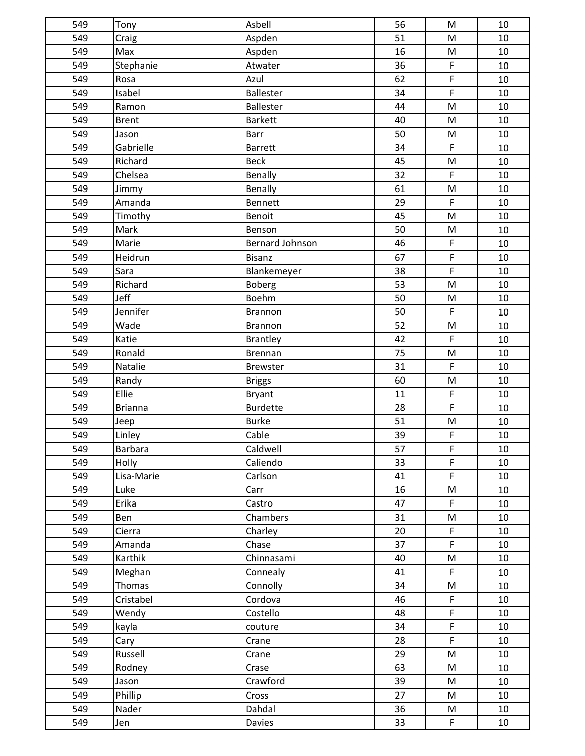| 549 | Tony         | Asbell                 | 56              | M                                                                                     | 10 |
|-----|--------------|------------------------|-----------------|---------------------------------------------------------------------------------------|----|
| 549 | Craig        | Aspden                 | 51              | M                                                                                     | 10 |
| 549 | Max          | Aspden                 | 16              | M                                                                                     | 10 |
| 549 | Stephanie    | Atwater                | 36              | $\mathsf F$                                                                           | 10 |
| 549 | Rosa         | Azul                   | 62              | $\overline{F}$                                                                        | 10 |
| 549 | Isabel       | <b>Ballester</b>       | 34              | $\mathsf F$                                                                           | 10 |
| 549 | Ramon        | Ballester              | 44              | M                                                                                     | 10 |
| 549 | <b>Brent</b> | <b>Barkett</b>         | 40              | M                                                                                     | 10 |
| 549 | Jason        | <b>Barr</b>            | 50              | M                                                                                     | 10 |
| 549 | Gabrielle    | <b>Barrett</b>         | 34              | $\mathsf F$                                                                           | 10 |
| 549 | Richard      | <b>Beck</b>            | 45              | $\mathsf{M}% _{T}=\mathsf{M}_{T}\!\left( a,b\right) ,\ \mathsf{M}_{T}=\mathsf{M}_{T}$ | 10 |
| 549 | Chelsea      | Benally                | 32              | $\mathsf F$                                                                           | 10 |
| 549 | Jimmy        | Benally                | 61              | M                                                                                     | 10 |
| 549 | Amanda       | Bennett                | 29              | $\mathsf F$                                                                           | 10 |
| 549 | Timothy      | Benoit                 | 45              | M                                                                                     | 10 |
| 549 | Mark         | Benson                 | 50              | M                                                                                     | 10 |
| 549 | Marie        | <b>Bernard Johnson</b> | 46              | F                                                                                     | 10 |
| 549 | Heidrun      | Bisanz                 | 67              | $\mathsf F$                                                                           | 10 |
| 549 | Sara         | Blankemeyer            | 38              | $\mathsf F$                                                                           | 10 |
| 549 | Richard      | <b>Boberg</b>          | 53              | M                                                                                     | 10 |
| 549 | Jeff         | Boehm                  | 50              | M                                                                                     | 10 |
| 549 | Jennifer     | Brannon                | 50              | $\mathsf F$                                                                           | 10 |
| 549 | Wade         | Brannon                | 52              | M                                                                                     | 10 |
| 549 | Katie        | <b>Brantley</b>        | 42              | $\mathsf F$                                                                           | 10 |
| 549 | Ronald       | <b>Brennan</b>         | 75              | M                                                                                     | 10 |
| 549 | Natalie      | Brewster               | 31              | $\mathsf F$                                                                           | 10 |
| 549 | Randy        | <b>Briggs</b>          | 60              | ${\sf M}$                                                                             | 10 |
| 549 | Ellie        | <b>Bryant</b>          | 11              | $\mathsf F$                                                                           | 10 |
| 549 | Brianna      | <b>Burdette</b>        | 28              | $\mathsf F$                                                                           | 10 |
| 549 | Jeep         | <b>Burke</b>           | 51              | M                                                                                     | 10 |
| 549 | Linley       | Cable                  | 39              | F                                                                                     | 10 |
| 549 | Barbara      | Caldwell               | $\overline{57}$ | $\mathsf F$                                                                           | 10 |
| 549 | Holly        | Caliendo               | 33              | $\mathsf{F}$                                                                          | 10 |
| 549 | Lisa-Marie   | Carlson                | 41              | $\mathsf F$                                                                           | 10 |
| 549 | Luke         | Carr                   | 16              | M                                                                                     | 10 |
| 549 | Erika        | Castro                 | 47              | $\mathsf F$                                                                           | 10 |
| 549 | Ben          | Chambers               | 31              | M                                                                                     | 10 |
| 549 | Cierra       | Charley                | 20              | $\mathsf F$                                                                           | 10 |
| 549 | Amanda       | Chase                  | 37              | $\mathsf{F}$                                                                          | 10 |
| 549 | Karthik      | Chinnasami             | 40              | M                                                                                     | 10 |
| 549 | Meghan       | Connealy               | 41              | $\mathsf F$                                                                           | 10 |
| 549 | Thomas       | Connolly               | 34              | M                                                                                     | 10 |
| 549 | Cristabel    | Cordova                | 46              | $\mathsf F$                                                                           | 10 |
| 549 | Wendy        | Costello               | 48              | $\mathsf{F}$                                                                          | 10 |
| 549 | kayla        | couture                | 34              | $\mathsf F$                                                                           | 10 |
| 549 | Cary         | Crane                  | 28              | $\mathsf F$                                                                           | 10 |
| 549 | Russell      | Crane                  | 29              | M                                                                                     | 10 |
| 549 | Rodney       | Crase                  | 63              | M                                                                                     | 10 |
| 549 | Jason        | Crawford               | 39              | M                                                                                     | 10 |
| 549 | Phillip      | Cross                  | 27              | M                                                                                     | 10 |
| 549 | Nader        | Dahdal                 | 36              | M                                                                                     | 10 |
| 549 | Jen          | Davies                 | 33              | F                                                                                     | 10 |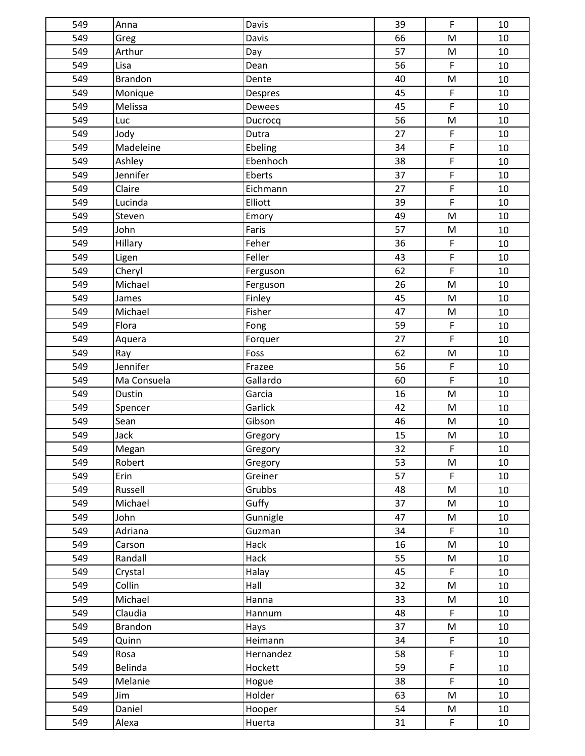| 549 | Anna           | Davis     | 39 | $\mathsf F$                                                                           | 10 |
|-----|----------------|-----------|----|---------------------------------------------------------------------------------------|----|
| 549 | Greg           | Davis     | 66 | M                                                                                     | 10 |
| 549 | Arthur         | Day       | 57 | M                                                                                     | 10 |
| 549 | Lisa           | Dean      | 56 | $\mathsf F$                                                                           | 10 |
| 549 | <b>Brandon</b> | Dente     | 40 | M                                                                                     | 10 |
| 549 | Monique        | Despres   | 45 | $\mathsf F$                                                                           | 10 |
| 549 | Melissa        | Dewees    | 45 | $\mathsf F$                                                                           | 10 |
| 549 | Luc            | Ducrocq   | 56 | M                                                                                     | 10 |
| 549 | Jody           | Dutra     | 27 | $\mathsf F$                                                                           | 10 |
| 549 | Madeleine      | Ebeling   | 34 | $\mathsf F$                                                                           | 10 |
| 549 | Ashley         | Ebenhoch  | 38 | $\mathsf F$                                                                           | 10 |
| 549 | Jennifer       | Eberts    | 37 | $\mathsf F$                                                                           | 10 |
| 549 | Claire         | Eichmann  | 27 | $\mathsf F$                                                                           | 10 |
| 549 | Lucinda        | Elliott   | 39 | $\mathsf F$                                                                           | 10 |
| 549 | Steven         | Emory     | 49 | M                                                                                     | 10 |
| 549 | John           | Faris     | 57 | M                                                                                     | 10 |
| 549 | Hillary        | Feher     | 36 | $\mathsf F$                                                                           | 10 |
| 549 | Ligen          | Feller    | 43 | $\mathsf F$                                                                           | 10 |
| 549 | Cheryl         | Ferguson  | 62 | $\overline{F}$                                                                        | 10 |
| 549 | Michael        | Ferguson  | 26 | $\mathsf{M}% _{T}=\mathsf{M}_{T}\!\left( a,b\right) ,\ \mathsf{M}_{T}=\mathsf{M}_{T}$ | 10 |
| 549 | James          | Finley    | 45 | M                                                                                     | 10 |
| 549 | Michael        | Fisher    | 47 | M                                                                                     | 10 |
| 549 | Flora          | Fong      | 59 | $\mathsf F$                                                                           | 10 |
| 549 | Aquera         | Forquer   | 27 | $\mathsf F$                                                                           | 10 |
| 549 | Ray            | Foss      | 62 | M                                                                                     | 10 |
| 549 | Jennifer       | Frazee    | 56 | $\mathsf F$                                                                           | 10 |
| 549 | Ma Consuela    | Gallardo  | 60 | $\mathsf F$                                                                           | 10 |
| 549 | Dustin         | Garcia    | 16 | $\mathsf{M}% _{T}=\mathsf{M}_{T}\!\left( a,b\right) ,\ \mathsf{M}_{T}=\mathsf{M}_{T}$ | 10 |
| 549 | Spencer        | Garlick   | 42 | $\mathsf{M}% _{T}=\mathsf{M}_{T}\!\left( a,b\right) ,\ \mathsf{M}_{T}=\mathsf{M}_{T}$ | 10 |
| 549 | Sean           | Gibson    | 46 | ${\sf M}$                                                                             | 10 |
| 549 | Jack           | Gregory   | 15 | M                                                                                     | 10 |
| 549 | Megan          | Gregory   | 32 | F                                                                                     | 10 |
| 549 | Robert         | Gregory   | 53 | M                                                                                     | 10 |
| 549 | Erin           | Greiner   | 57 | $\mathsf F$                                                                           | 10 |
| 549 | Russell        | Grubbs    | 48 | ${\sf M}$                                                                             | 10 |
| 549 | Michael        | Guffy     | 37 | M                                                                                     | 10 |
| 549 | John           | Gunnigle  | 47 | M                                                                                     | 10 |
| 549 | Adriana        | Guzman    | 34 | $\mathsf F$                                                                           | 10 |
| 549 | Carson         | Hack      | 16 | ${\sf M}$                                                                             | 10 |
| 549 | Randall        | Hack      | 55 | M                                                                                     | 10 |
| 549 | Crystal        | Halay     | 45 | $\mathsf F$                                                                           | 10 |
| 549 | Collin         | Hall      | 32 | ${\sf M}$                                                                             | 10 |
| 549 | Michael        | Hanna     | 33 | ${\sf M}$                                                                             | 10 |
| 549 | Claudia        | Hannum    | 48 | $\mathsf F$                                                                           | 10 |
| 549 | <b>Brandon</b> | Hays      | 37 | M                                                                                     | 10 |
| 549 | Quinn          | Heimann   | 34 | $\mathsf F$                                                                           | 10 |
| 549 | Rosa           | Hernandez | 58 | $\mathsf F$                                                                           | 10 |
| 549 | Belinda        | Hockett   | 59 | $\mathsf F$                                                                           | 10 |
| 549 | Melanie        | Hogue     | 38 | $\mathsf{F}$                                                                          | 10 |
| 549 | Jim            | Holder    | 63 | M                                                                                     | 10 |
| 549 | Daniel         | Hooper    | 54 | M                                                                                     | 10 |
| 549 | Alexa          | Huerta    | 31 | F                                                                                     | 10 |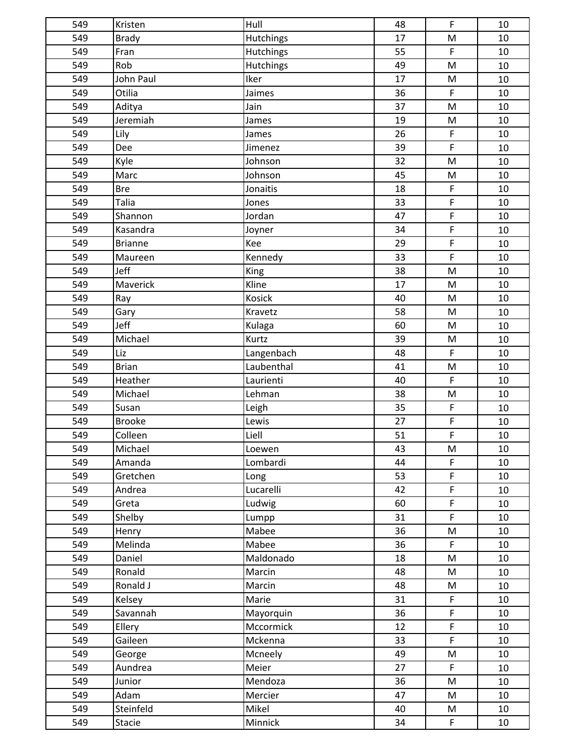| 549 | Kristen        | Hull       | 48 | $\mathsf{F}$                                                                          | 10     |
|-----|----------------|------------|----|---------------------------------------------------------------------------------------|--------|
| 549 | Brady          | Hutchings  | 17 | M                                                                                     | 10     |
| 549 | Fran           | Hutchings  | 55 | $\mathsf F$                                                                           | 10     |
| 549 | Rob            | Hutchings  | 49 | M                                                                                     | 10     |
| 549 | John Paul      | Iker       | 17 | $\mathsf{M}% _{T}=\mathsf{M}_{T}\!\left( a,b\right) ,\ \mathsf{M}_{T}=\mathsf{M}_{T}$ | 10     |
| 549 | Otilia         | Jaimes     | 36 | $\mathsf F$                                                                           | 10     |
| 549 | Aditya         | Jain       | 37 | M                                                                                     | 10     |
| 549 | Jeremiah       | James      | 19 | M                                                                                     | 10     |
| 549 | Lily           | James      | 26 | $\mathsf F$                                                                           | 10     |
| 549 | Dee            | Jimenez    | 39 | $\mathsf F$                                                                           | 10     |
| 549 | Kyle           | Johnson    | 32 | M                                                                                     | 10     |
| 549 | Marc           | Johnson    | 45 | ${\sf M}$                                                                             | 10     |
| 549 | <b>Bre</b>     | Jonaitis   | 18 | $\mathsf F$                                                                           | 10     |
| 549 | Talia          | Jones      | 33 | $\overline{F}$                                                                        | 10     |
| 549 | Shannon        | Jordan     | 47 | $\mathsf F$                                                                           | 10     |
| 549 | Kasandra       | Joyner     | 34 | $\mathsf F$                                                                           | 10     |
| 549 | <b>Brianne</b> | Kee        | 29 | $\mathsf F$                                                                           | 10     |
| 549 | Maureen        | Kennedy    | 33 | $\mathsf F$                                                                           | 10     |
| 549 | Jeff           | King       | 38 | ${\sf M}$                                                                             | 10     |
| 549 | Maverick       | Kline      | 17 | $\mathsf{M}% _{T}=\mathsf{M}_{T}\!\left( a,b\right) ,\ \mathsf{M}_{T}=\mathsf{M}_{T}$ | $10\,$ |
| 549 | Ray            | Kosick     | 40 | M                                                                                     | 10     |
| 549 | Gary           | Kravetz    | 58 | M                                                                                     | 10     |
| 549 | Jeff           | Kulaga     | 60 | ${\sf M}$                                                                             | 10     |
| 549 | Michael        | Kurtz      | 39 | ${\sf M}$                                                                             | 10     |
| 549 | Liz            | Langenbach | 48 | $\mathsf F$                                                                           | 10     |
| 549 | <b>Brian</b>   | Laubenthal | 41 | M                                                                                     | 10     |
| 549 | Heather        | Laurienti  | 40 | $\mathsf F$                                                                           | 10     |
| 549 | Michael        | Lehman     | 38 | ${\sf M}$                                                                             | 10     |
| 549 | Susan          | Leigh      | 35 | $\mathsf F$                                                                           | 10     |
| 549 | <b>Brooke</b>  | Lewis      | 27 | $\mathsf F$                                                                           | 10     |
| 549 | Colleen        | Liell      | 51 | $\mathsf F$                                                                           | 10     |
| 549 | Michael        | Loewen     | 43 | M                                                                                     | 10     |
| 549 | Amanda         | Lombardi   | 44 | $\mathsf F$                                                                           | 10     |
| 549 | Gretchen       | Long       | 53 | $\mathsf F$                                                                           | 10     |
| 549 | Andrea         | Lucarelli  | 42 | $\mathsf F$                                                                           | 10     |
| 549 | Greta          | Ludwig     | 60 | $\mathsf F$                                                                           | 10     |
| 549 | Shelby         | Lumpp      | 31 | $\mathsf F$                                                                           | 10     |
| 549 | Henry          | Mabee      | 36 | $\mathsf{M}% _{T}=\mathsf{M}_{T}\!\left( a,b\right) ,\ \mathsf{M}_{T}=\mathsf{M}_{T}$ | 10     |
| 549 | Melinda        | Mabee      | 36 | $\mathsf F$                                                                           | 10     |
| 549 | Daniel         | Maldonado  | 18 | M                                                                                     | 10     |
| 549 | Ronald         | Marcin     | 48 | M                                                                                     | 10     |
| 549 | Ronald J       | Marcin     | 48 | M                                                                                     | 10     |
| 549 | Kelsey         | Marie      | 31 | $\mathsf F$                                                                           | 10     |
| 549 | Savannah       | Mayorquin  | 36 | $\mathsf F$                                                                           | 10     |
| 549 | Ellery         | Mccormick  | 12 | $\mathsf F$                                                                           | 10     |
| 549 | Gaileen        | Mckenna    | 33 | $\mathsf F$                                                                           | 10     |
| 549 | George         | Mcneely    | 49 | M                                                                                     | 10     |
| 549 | Aundrea        | Meier      | 27 | F                                                                                     | 10     |
| 549 | Junior         | Mendoza    | 36 | M                                                                                     | 10     |
| 549 | Adam           | Mercier    | 47 | M                                                                                     | 10     |
| 549 | Steinfeld      | Mikel      | 40 | M                                                                                     | 10     |
| 549 | <b>Stacie</b>  | Minnick    | 34 | $\mathsf F$                                                                           | 10     |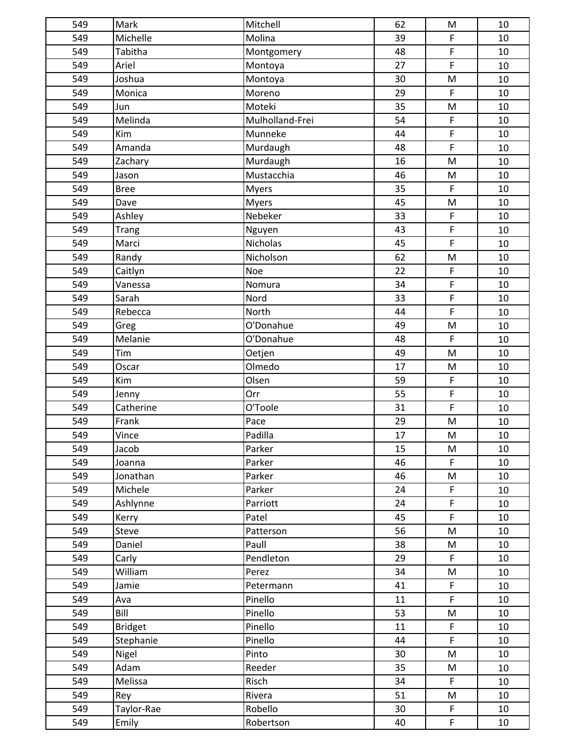| 549 | Mark           | Mitchell        | 62 | ${\sf M}$                                                                                                  | 10 |
|-----|----------------|-----------------|----|------------------------------------------------------------------------------------------------------------|----|
| 549 | Michelle       | Molina          | 39 | $\mathsf F$                                                                                                | 10 |
| 549 | Tabitha        | Montgomery      | 48 | $\mathsf F$                                                                                                | 10 |
| 549 | Ariel          | Montoya         | 27 | $\mathsf F$                                                                                                | 10 |
| 549 | Joshua         | Montoya         | 30 | M                                                                                                          | 10 |
| 549 | Monica         | Moreno          | 29 | $\mathsf F$                                                                                                | 10 |
| 549 | Jun            | Moteki          | 35 | M                                                                                                          | 10 |
| 549 | Melinda        | Mulholland-Frei | 54 | $\mathsf F$                                                                                                | 10 |
| 549 | Kim            | Munneke         | 44 | $\mathsf F$                                                                                                | 10 |
| 549 | Amanda         | Murdaugh        | 48 | $\mathsf F$                                                                                                | 10 |
| 549 | Zachary        | Murdaugh        | 16 | M                                                                                                          | 10 |
| 549 | Jason          | Mustacchia      | 46 | M                                                                                                          | 10 |
| 549 | <b>Bree</b>    | <b>Myers</b>    | 35 | $\mathsf F$                                                                                                | 10 |
| 549 | Dave           | <b>Myers</b>    | 45 | M                                                                                                          | 10 |
| 549 | Ashley         | Nebeker         | 33 | $\mathsf F$                                                                                                | 10 |
| 549 | <b>Trang</b>   | Nguyen          | 43 | $\mathsf F$                                                                                                | 10 |
| 549 | Marci          | Nicholas        | 45 | $\mathsf F$                                                                                                | 10 |
| 549 | Randy          | Nicholson       | 62 | M                                                                                                          | 10 |
| 549 | Caitlyn        | Noe             | 22 | $\mathsf F$                                                                                                | 10 |
| 549 | Vanessa        | Nomura          | 34 | $\mathsf F$                                                                                                | 10 |
| 549 | Sarah          | Nord            | 33 | $\mathsf F$                                                                                                | 10 |
| 549 | Rebecca        | North           | 44 | $\mathsf F$                                                                                                | 10 |
| 549 | Greg           | O'Donahue       | 49 | $\mathsf{M}% _{T}=\mathsf{M}_{T}\!\left( a,b\right) ,\ \mathsf{M}_{T}=\mathsf{M}_{T}$                      | 10 |
| 549 | Melanie        | O'Donahue       | 48 | $\mathsf F$                                                                                                | 10 |
| 549 | Tim            | Oetjen          | 49 | M                                                                                                          | 10 |
| 549 | Oscar          | Olmedo          | 17 | M                                                                                                          | 10 |
| 549 | Kim            | Olsen           | 59 | $\mathsf F$                                                                                                | 10 |
| 549 | Jenny          | Orr             | 55 | $\mathsf F$                                                                                                | 10 |
| 549 | Catherine      | O'Toole         | 31 | $\mathsf F$                                                                                                | 10 |
| 549 | Frank          | Pace            | 29 | M                                                                                                          | 10 |
| 549 | Vince          | Padilla         | 17 | M                                                                                                          | 10 |
| 549 | Jacob          | Parker          | 15 | M                                                                                                          | 10 |
| 549 | Joanna         | Parker          | 46 | $\mathsf F$                                                                                                | 10 |
| 549 | Jonathan       | Parker          | 46 | ${\sf M}$                                                                                                  | 10 |
| 549 | Michele        | Parker          | 24 | F                                                                                                          | 10 |
| 549 | Ashlynne       | Parriott        | 24 | $\mathsf F$                                                                                                | 10 |
| 549 | Kerry          | Patel           | 45 | $\mathsf F$                                                                                                | 10 |
| 549 | <b>Steve</b>   | Patterson       | 56 | $\mathsf{M}% _{T}=\mathsf{M}_{T}\!\left( a,b\right) ,\ \mathsf{M}_{T}=\mathsf{M}_{T}$                      | 10 |
| 549 | Daniel         | Paull           | 38 | M                                                                                                          | 10 |
| 549 | Carly          | Pendleton       | 29 | $\mathsf{F}$                                                                                               | 10 |
| 549 | William        | Perez           | 34 | $\mathsf{M}% _{T}=\mathsf{M}_{T}\!\left( a,b\right) ,\ \mathsf{M}_{T}=\mathsf{M}_{T}\!\left( a,b\right) ,$ | 10 |
| 549 | Jamie          | Petermann       | 41 | $\mathsf F$                                                                                                | 10 |
| 549 | Ava            | Pinello         | 11 | $\mathsf F$                                                                                                | 10 |
| 549 | Bill           | Pinello         | 53 | ${\sf M}$                                                                                                  | 10 |
| 549 | <b>Bridget</b> | Pinello         | 11 | $\mathsf F$                                                                                                | 10 |
| 549 | Stephanie      | Pinello         | 44 | $\mathsf F$                                                                                                | 10 |
| 549 | Nigel          | Pinto           | 30 | ${\sf M}$                                                                                                  | 10 |
| 549 | Adam           | Reeder          | 35 | M                                                                                                          | 10 |
| 549 | Melissa        | Risch           | 34 | $\mathsf F$                                                                                                | 10 |
| 549 | Rey            | Rivera          | 51 | M                                                                                                          | 10 |
| 549 | Taylor-Rae     | Robello         | 30 | $\mathsf F$                                                                                                | 10 |
| 549 | Emily          | Robertson       | 40 | $\mathsf F$                                                                                                | 10 |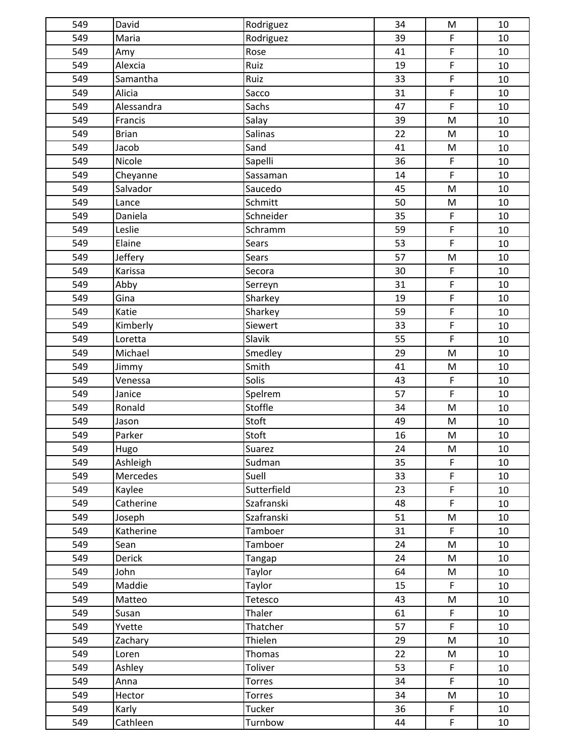| 549 | David        | Rodriguez     | 34 | ${\sf M}$                                                                             | 10 |
|-----|--------------|---------------|----|---------------------------------------------------------------------------------------|----|
| 549 | Maria        | Rodriguez     | 39 | $\mathsf F$                                                                           | 10 |
| 549 | Amy          | Rose          | 41 | $\mathsf F$                                                                           | 10 |
| 549 | Alexcia      | Ruiz          | 19 | $\mathsf F$                                                                           | 10 |
| 549 | Samantha     | Ruiz          | 33 | $\mathsf F$                                                                           | 10 |
| 549 | Alicia       | Sacco         | 31 | $\mathsf F$                                                                           | 10 |
| 549 | Alessandra   | Sachs         | 47 | $\mathsf F$                                                                           | 10 |
| 549 | Francis      | Salay         | 39 | M                                                                                     | 10 |
| 549 | <b>Brian</b> | Salinas       | 22 | ${\sf M}$                                                                             | 10 |
| 549 | Jacob        | Sand          | 41 | $\mathsf{M}% _{T}=\mathsf{M}_{T}\!\left( a,b\right) ,\ \mathsf{M}_{T}=\mathsf{M}_{T}$ | 10 |
| 549 | Nicole       | Sapelli       | 36 | $\mathsf F$                                                                           | 10 |
| 549 | Cheyanne     | Sassaman      | 14 | $\mathsf F$                                                                           | 10 |
| 549 | Salvador     | Saucedo       | 45 | M                                                                                     | 10 |
| 549 | Lance        | Schmitt       | 50 | ${\sf M}$                                                                             | 10 |
| 549 | Daniela      | Schneider     | 35 | $\mathsf F$                                                                           | 10 |
| 549 | Leslie       | Schramm       | 59 | $\mathsf F$                                                                           | 10 |
| 549 | Elaine       | Sears         | 53 | $\mathsf F$                                                                           | 10 |
| 549 | Jeffery      | Sears         | 57 | M                                                                                     | 10 |
| 549 | Karissa      | Secora        | 30 | $\mathsf F$                                                                           | 10 |
| 549 | Abby         | Serreyn       | 31 | $\mathsf F$                                                                           | 10 |
| 549 | Gina         | Sharkey       | 19 | $\mathsf F$                                                                           | 10 |
| 549 | Katie        | Sharkey       | 59 | $\mathsf F$                                                                           | 10 |
| 549 | Kimberly     | Siewert       | 33 | $\mathsf F$                                                                           | 10 |
| 549 | Loretta      | Slavik        | 55 | $\mathsf F$                                                                           | 10 |
| 549 | Michael      | Smedley       | 29 | M                                                                                     | 10 |
| 549 | Jimmy        | Smith         | 41 | M                                                                                     | 10 |
| 549 | Venessa      | Solis         | 43 | $\mathsf F$                                                                           | 10 |
| 549 | Janice       | Spelrem       | 57 | $\mathsf F$                                                                           | 10 |
| 549 | Ronald       | Stoffle       | 34 | $\mathsf{M}% _{T}=\mathsf{M}_{T}\!\left( a,b\right) ,\ \mathsf{M}_{T}=\mathsf{M}_{T}$ | 10 |
| 549 | Jason        | Stoft         | 49 | ${\sf M}$                                                                             | 10 |
| 549 | Parker       | Stoft         | 16 | M                                                                                     | 10 |
| 549 | Hugo         | Suarez        | 24 | M                                                                                     | 10 |
| 549 | Ashleigh     | Sudman        | 35 | $\mathsf{F}$                                                                          | 10 |
| 549 | Mercedes     | Suell         | 33 | $\mathsf F$                                                                           | 10 |
| 549 | Kaylee       | Sutterfield   | 23 | $\mathsf F$                                                                           | 10 |
| 549 | Catherine    | Szafranski    | 48 | $\mathsf F$                                                                           | 10 |
| 549 | Joseph       | Szafranski    | 51 | M                                                                                     | 10 |
| 549 | Katherine    | Tamboer       | 31 | $\mathsf{F}$                                                                          | 10 |
| 549 | Sean         | Tamboer       | 24 | ${\sf M}$                                                                             | 10 |
| 549 | Derick       | Tangap        | 24 | M                                                                                     | 10 |
| 549 | John         | Taylor        | 64 | M                                                                                     | 10 |
| 549 | Maddie       | Taylor        | 15 | $\mathsf F$                                                                           | 10 |
| 549 | Matteo       | Tetesco       | 43 | ${\sf M}$                                                                             | 10 |
| 549 | Susan        | Thaler        | 61 | $\mathsf F$                                                                           | 10 |
| 549 | Yvette       | Thatcher      | 57 | $\mathsf F$                                                                           | 10 |
| 549 | Zachary      | Thielen       | 29 | ${\sf M}$                                                                             | 10 |
| 549 | Loren        | Thomas        | 22 | ${\sf M}$                                                                             | 10 |
| 549 | Ashley       | Toliver       | 53 | F                                                                                     | 10 |
| 549 | Anna         | <b>Torres</b> | 34 | $\mathsf{F}$                                                                          | 10 |
| 549 | Hector       | <b>Torres</b> | 34 | M                                                                                     | 10 |
| 549 | Karly        | Tucker        | 36 | $\mathsf F$                                                                           | 10 |
| 549 | Cathleen     | Turnbow       | 44 | F.                                                                                    | 10 |